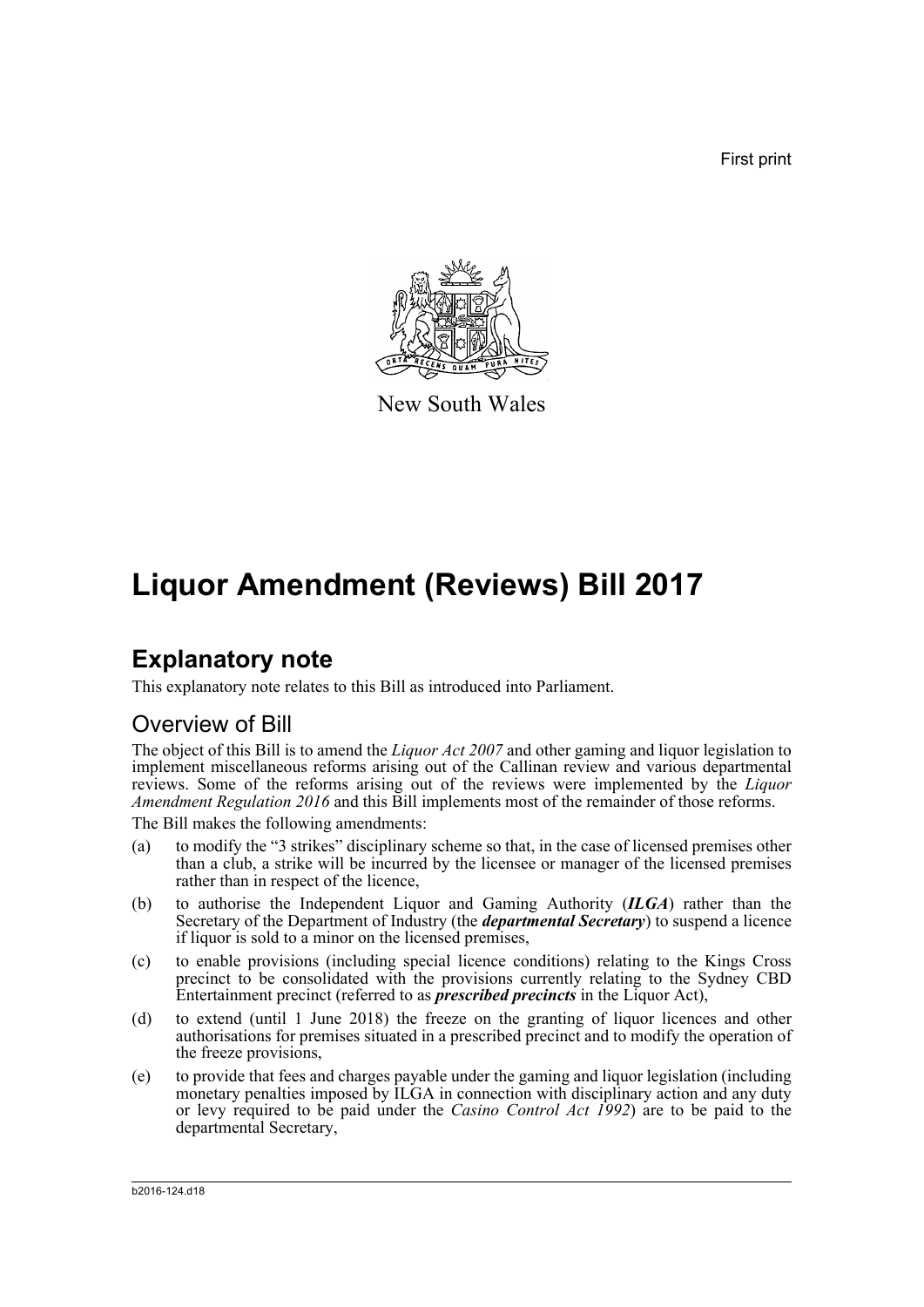First print



New South Wales

# **Liquor Amendment (Reviews) Bill 2017**

## **Explanatory note**

This explanatory note relates to this Bill as introduced into Parliament.

## Overview of Bill

The object of this Bill is to amend the *Liquor Act 2007* and other gaming and liquor legislation to implement miscellaneous reforms arising out of the Callinan review and various departmental reviews. Some of the reforms arising out of the reviews were implemented by the *Liquor Amendment Regulation 2016* and this Bill implements most of the remainder of those reforms.

The Bill makes the following amendments:

- (a) to modify the "3 strikes" disciplinary scheme so that, in the case of licensed premises other than a club, a strike will be incurred by the licensee or manager of the licensed premises rather than in respect of the licence,
- (b) to authorise the Independent Liquor and Gaming Authority (*ILGA*) rather than the Secretary of the Department of Industry (the *departmental Secretary*) to suspend a licence if liquor is sold to a minor on the licensed premises,
- (c) to enable provisions (including special licence conditions) relating to the Kings Cross precinct to be consolidated with the provisions currently relating to the Sydney CBD Entertainment precinct (referred to as *prescribed precincts* in the Liquor Act),
- (d) to extend (until 1 June 2018) the freeze on the granting of liquor licences and other authorisations for premises situated in a prescribed precinct and to modify the operation of the freeze provisions,
- (e) to provide that fees and charges payable under the gaming and liquor legislation (including monetary penalties imposed by ILGA in connection with disciplinary action and any duty or levy required to be paid under the *Casino Control Act 1992*) are to be paid to the departmental Secretary,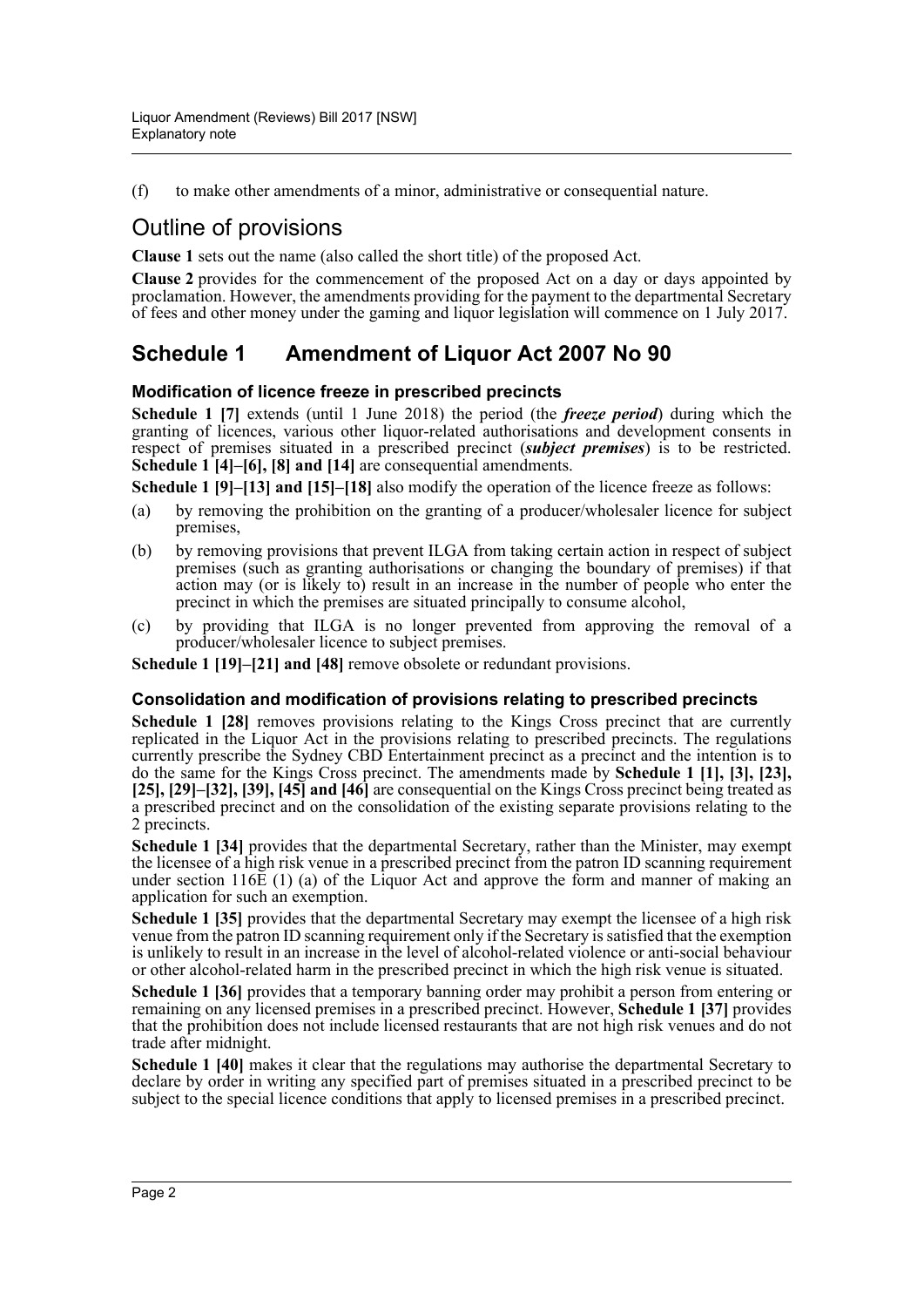(f) to make other amendments of a minor, administrative or consequential nature.

## Outline of provisions

**Clause 1** sets out the name (also called the short title) of the proposed Act.

**Clause 2** provides for the commencement of the proposed Act on a day or days appointed by proclamation. However, the amendments providing for the payment to the departmental Secretary of fees and other money under the gaming and liquor legislation will commence on 1 July 2017.

## **Schedule 1 Amendment of Liquor Act 2007 No 90**

### **Modification of licence freeze in prescribed precincts**

**Schedule 1 [7]** extends (until 1 June 2018) the period (the *freeze period*) during which the granting of licences, various other liquor-related authorisations and development consents in respect of premises situated in a prescribed precinct (*subject premises*) is to be restricted. **Schedule 1 [4]–[6], [8] and [14]** are consequential amendments.

**Schedule 1 [9]–[13] and [15]–[18]** also modify the operation of the licence freeze as follows:

- (a) by removing the prohibition on the granting of a producer/wholesaler licence for subject premises,
- (b) by removing provisions that prevent ILGA from taking certain action in respect of subject premises (such as granting authorisations or changing the boundary of premises) if that action may (or is likely to) result in an increase in the number of people who enter the precinct in which the premises are situated principally to consume alcohol,
- (c) by providing that ILGA is no longer prevented from approving the removal of a producer/wholesaler licence to subject premises.

**Schedule 1 [19]–[21] and [48]** remove obsolete or redundant provisions.

### **Consolidation and modification of provisions relating to prescribed precincts**

**Schedule 1 [28]** removes provisions relating to the Kings Cross precinct that are currently replicated in the Liquor Act in the provisions relating to prescribed precincts. The regulations currently prescribe the Sydney CBD Entertainment precinct as a precinct and the intention is to do the same for the Kings Cross precinct. The amendments made by **Schedule 1 [1], [3], [23], [25], [29]–[32], [39], [45] and [46]** are consequential on the Kings Cross precinct being treated as a prescribed precinct and on the consolidation of the existing separate provisions relating to the 2 precincts.

**Schedule 1 [34]** provides that the departmental Secretary, rather than the Minister, may exempt the licensee of a high risk venue in a prescribed precinct from the patron ID scanning requirement under section 116 $\vec{E}$  (1) (a) of the Liquor Act and approve the form and manner of making an application for such an exemption.

**Schedule 1 [35]** provides that the departmental Secretary may exempt the licensee of a high risk venue from the patron ID scanning requirement only if the Secretary is satisfied that the exemption is unlikely to result in an increase in the level of alcohol-related violence or anti-social behaviour or other alcohol-related harm in the prescribed precinct in which the high risk venue is situated.

**Schedule 1 [36]** provides that a temporary banning order may prohibit a person from entering or remaining on any licensed premises in a prescribed precinct. However, **Schedule 1 [37]** provides that the prohibition does not include licensed restaurants that are not high risk venues and do not trade after midnight.

**Schedule 1 [40]** makes it clear that the regulations may authorise the departmental Secretary to declare by order in writing any specified part of premises situated in a prescribed precinct to be subject to the special licence conditions that apply to licensed premises in a prescribed precinct.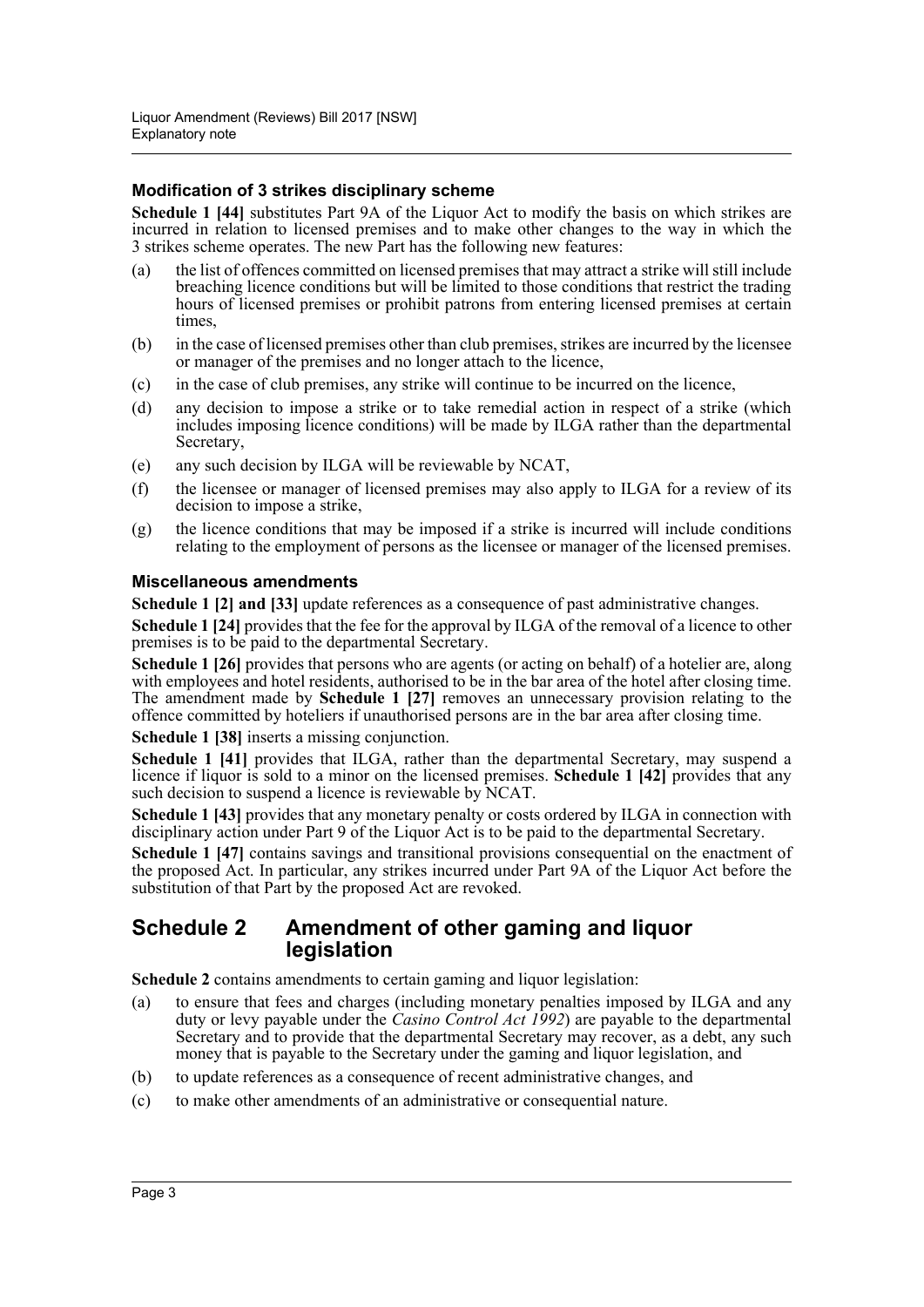### **Modification of 3 strikes disciplinary scheme**

**Schedule 1 [44]** substitutes Part 9A of the Liquor Act to modify the basis on which strikes are incurred in relation to licensed premises and to make other changes to the way in which the 3 strikes scheme operates. The new Part has the following new features:

- (a) the list of offences committed on licensed premises that may attract a strike will still include breaching licence conditions but will be limited to those conditions that restrict the trading hours of licensed premises or prohibit patrons from entering licensed premises at certain times,
- (b) in the case of licensed premises other than club premises, strikes are incurred by the licensee or manager of the premises and no longer attach to the licence,
- (c) in the case of club premises, any strike will continue to be incurred on the licence,
- (d) any decision to impose a strike or to take remedial action in respect of a strike (which includes imposing licence conditions) will be made by ILGA rather than the departmental Secretary,
- (e) any such decision by ILGA will be reviewable by NCAT,
- (f) the licensee or manager of licensed premises may also apply to ILGA for a review of its decision to impose a strike,
- (g) the licence conditions that may be imposed if a strike is incurred will include conditions relating to the employment of persons as the licensee or manager of the licensed premises.

### **Miscellaneous amendments**

**Schedule 1 [2] and [33]** update references as a consequence of past administrative changes.

**Schedule 1 [24]** provides that the fee for the approval by ILGA of the removal of a licence to other premises is to be paid to the departmental Secretary.

**Schedule 1 [26]** provides that persons who are agents (or acting on behalf) of a hotelier are, along with employees and hotel residents, authorised to be in the bar area of the hotel after closing time. The amendment made by **Schedule 1 [27]** removes an unnecessary provision relating to the offence committed by hoteliers if unauthorised persons are in the bar area after closing time.

**Schedule 1 [38]** inserts a missing conjunction.

Schedule 1 [41] provides that ILGA, rather than the departmental Secretary, may suspend a licence if liquor is sold to a minor on the licensed premises. **Schedule 1 [42]** provides that any such decision to suspend a licence is reviewable by NCAT.

**Schedule 1 [43]** provides that any monetary penalty or costs ordered by ILGA in connection with disciplinary action under Part 9 of the Liquor Act is to be paid to the departmental Secretary.

**Schedule 1 [47]** contains savings and transitional provisions consequential on the enactment of the proposed Act. In particular, any strikes incurred under Part 9A of the Liquor Act before the substitution of that Part by the proposed Act are revoked.

## **Schedule 2 Amendment of other gaming and liquor legislation**

**Schedule 2** contains amendments to certain gaming and liquor legislation:

- (a) to ensure that fees and charges (including monetary penalties imposed by ILGA and any duty or levy payable under the *Casino Control Act 1992*) are payable to the departmental Secretary and to provide that the departmental Secretary may recover, as a debt, any such money that is payable to the Secretary under the gaming and liquor legislation, and
- (b) to update references as a consequence of recent administrative changes, and
- (c) to make other amendments of an administrative or consequential nature.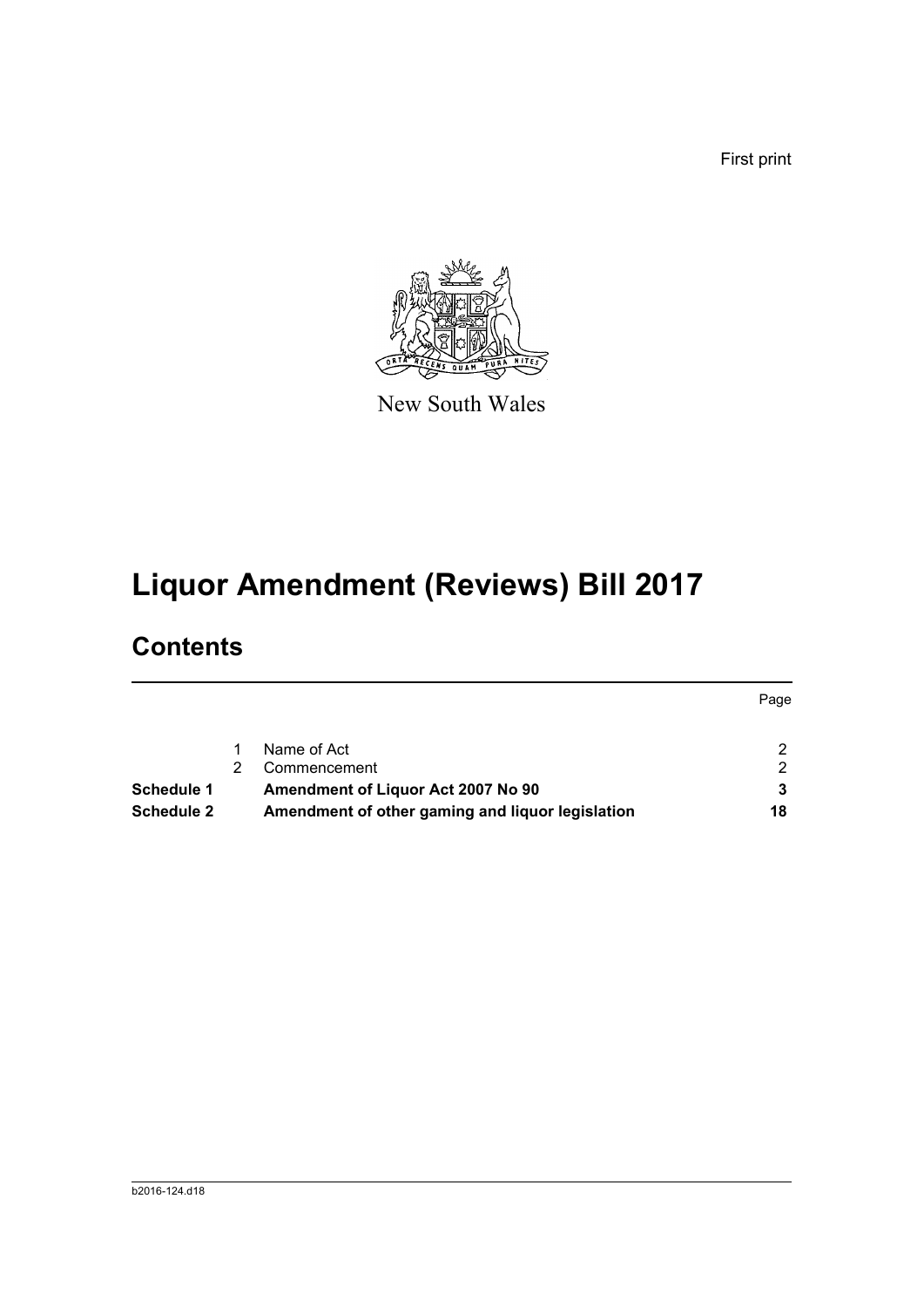First print



New South Wales

# **Liquor Amendment (Reviews) Bill 2017**

# **Contents**

|                   |                                                  | Page |
|-------------------|--------------------------------------------------|------|
|                   | Name of Act                                      | 2.   |
|                   | Commencement                                     | 2.   |
| Schedule 1        | Amendment of Liquor Act 2007 No 90               |      |
| <b>Schedule 2</b> | Amendment of other gaming and liquor legislation | 18   |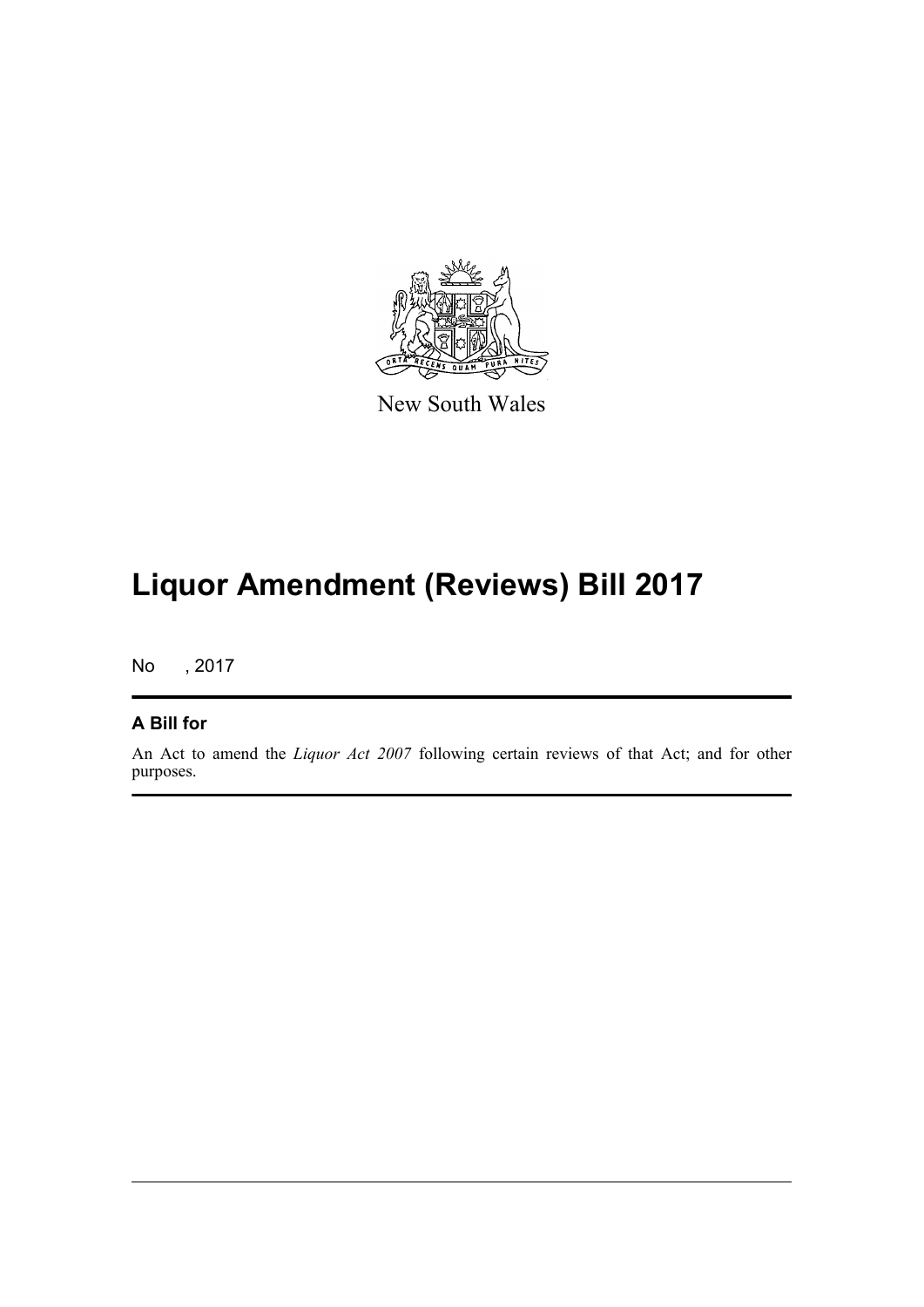

New South Wales

# **Liquor Amendment (Reviews) Bill 2017**

No , 2017

### **A Bill for**

An Act to amend the *Liquor Act 2007* following certain reviews of that Act; and for other purposes.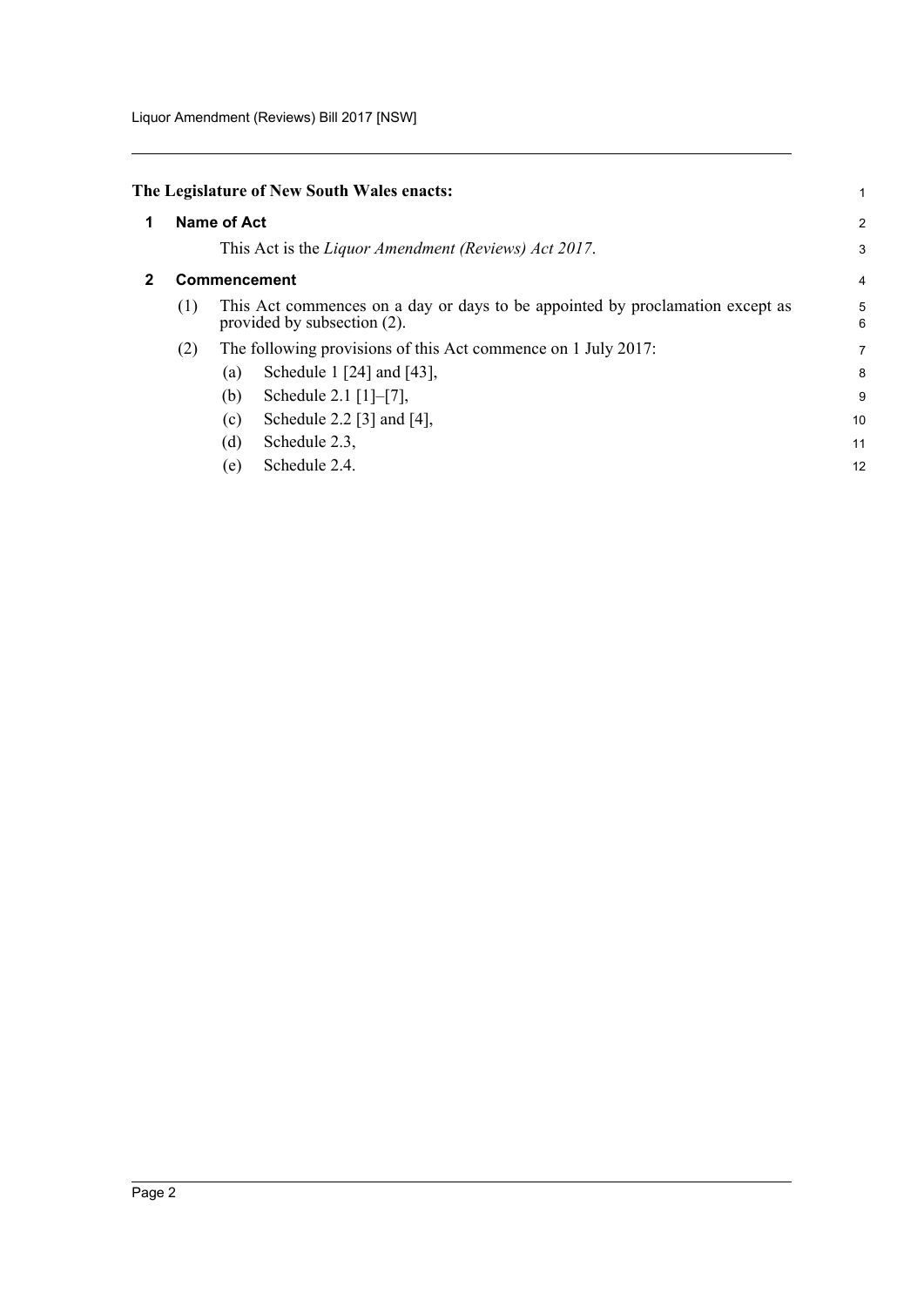<span id="page-5-1"></span><span id="page-5-0"></span>

|   |             |                             | The Legislature of New South Wales enacts:                                    |                |  |
|---|-------------|-----------------------------|-------------------------------------------------------------------------------|----------------|--|
| 1 | Name of Act |                             |                                                                               |                |  |
|   |             |                             | This Act is the <i>Liquor Amendment (Reviews) Act 2017</i> .                  | 3              |  |
|   |             | <b>Commencement</b>         |                                                                               | $\overline{4}$ |  |
|   | (1)         | provided by subsection (2). | This Act commences on a day or days to be appointed by proclamation except as | 5<br>6         |  |
|   | (2)         |                             | The following provisions of this Act commence on 1 July 2017:                 | $\overline{7}$ |  |
|   |             | (a)                         | Schedule 1 [24] and [43],                                                     | 8              |  |
|   |             | (b)                         | Schedule 2.1 $[1]-[7]$ ,                                                      | 9              |  |
|   |             | (c)                         | Schedule 2.2 [3] and $[4]$ ,                                                  | 10             |  |
|   |             | Schedule 2.3,<br>(d)        |                                                                               | 11             |  |
|   |             | Schedule 2.4.<br>(e)        |                                                                               | 12             |  |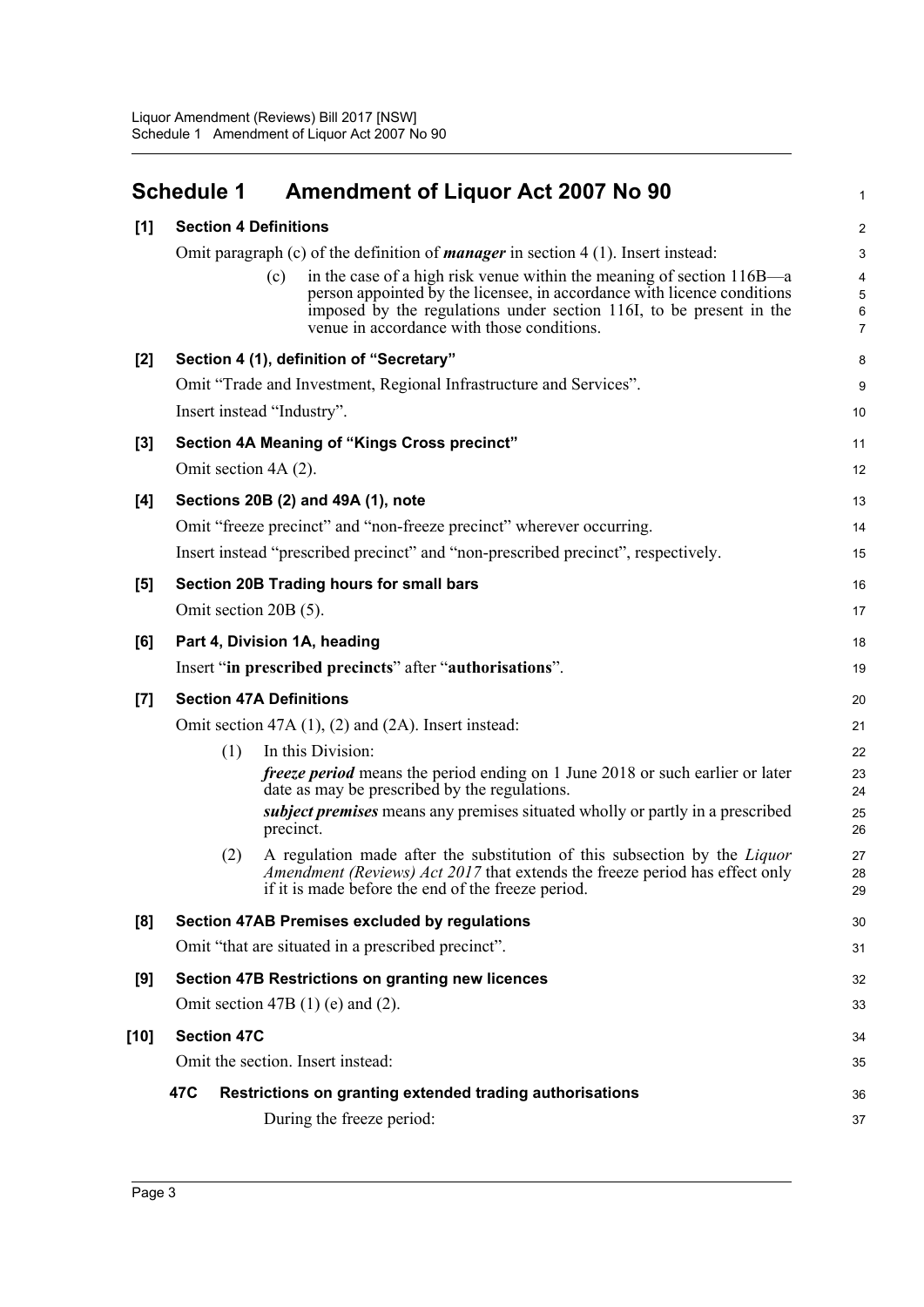<span id="page-6-0"></span>

|       | <b>Schedule 1</b>            | <b>Amendment of Liquor Act 2007 No 90</b>                                                                                                                                                                                                                                    | 1                |
|-------|------------------------------|------------------------------------------------------------------------------------------------------------------------------------------------------------------------------------------------------------------------------------------------------------------------------|------------------|
| [1]   | <b>Section 4 Definitions</b> |                                                                                                                                                                                                                                                                              | $\overline{c}$   |
|       |                              | Omit paragraph (c) of the definition of <i>manager</i> in section $4(1)$ . Insert instead:                                                                                                                                                                                   | 3                |
|       |                              | in the case of a high risk venue within the meaning of section 116B—a<br>(c)<br>person appointed by the licensee, in accordance with licence conditions<br>imposed by the regulations under section 116I, to be present in the<br>venue in accordance with those conditions. | 4<br>5<br>6<br>7 |
|       |                              | Section 4 (1), definition of "Secretary"                                                                                                                                                                                                                                     |                  |
| $[2]$ |                              | Omit "Trade and Investment, Regional Infrastructure and Services".                                                                                                                                                                                                           | 8<br>9           |
|       |                              | Insert instead "Industry".                                                                                                                                                                                                                                                   | 10               |
|       |                              |                                                                                                                                                                                                                                                                              |                  |
| $[3]$ | Omit section 4A (2).         | Section 4A Meaning of "Kings Cross precinct"                                                                                                                                                                                                                                 | 11<br>12         |
|       |                              |                                                                                                                                                                                                                                                                              |                  |
| [4]   |                              | Sections 20B (2) and 49A (1), note                                                                                                                                                                                                                                           | 13               |
|       |                              | Omit "freeze precinct" and "non-freeze precinct" wherever occurring.<br>Insert instead "prescribed precinct" and "non-prescribed precinct", respectively.                                                                                                                    | 14               |
|       |                              |                                                                                                                                                                                                                                                                              | 15               |
| [5]   |                              | Section 20B Trading hours for small bars                                                                                                                                                                                                                                     | 16               |
|       | Omit section 20B (5).        |                                                                                                                                                                                                                                                                              | 17               |
| [6]   |                              | Part 4, Division 1A, heading                                                                                                                                                                                                                                                 | 18               |
|       |                              | Insert "in prescribed precincts" after "authorisations".                                                                                                                                                                                                                     | 19               |
| $[7]$ |                              | <b>Section 47A Definitions</b>                                                                                                                                                                                                                                               | 20               |
|       |                              | Omit section 47A (1), (2) and (2A). Insert instead:                                                                                                                                                                                                                          | 21               |
|       | (1)                          | In this Division:                                                                                                                                                                                                                                                            | 22               |
|       |                              | <i>freeze period</i> means the period ending on 1 June 2018 or such earlier or later<br>date as may be prescribed by the regulations.<br><i>subject premises</i> means any premises situated wholly or partly in a prescribed                                                | 23<br>24<br>25   |
|       |                              | precinct.                                                                                                                                                                                                                                                                    | 26               |
|       | (2)                          | A regulation made after the substitution of this subsection by the <i>Liquor</i><br>Amendment (Reviews) Act 2017 that extends the freeze period has effect only<br>if it is made before the end of the freeze period.                                                        | 27<br>28<br>29   |
| [8]   |                              | <b>Section 47AB Premises excluded by regulations</b>                                                                                                                                                                                                                         | 30               |
|       |                              | Omit "that are situated in a prescribed precinct".                                                                                                                                                                                                                           | 31               |
| [9]   |                              | Section 47B Restrictions on granting new licences                                                                                                                                                                                                                            | 32               |
|       |                              | Omit section 47B $(1)$ (e) and $(2)$ .                                                                                                                                                                                                                                       | 33               |
| [10]  | <b>Section 47C</b>           |                                                                                                                                                                                                                                                                              | 34               |
|       |                              | Omit the section. Insert instead:                                                                                                                                                                                                                                            | 35               |
|       | 47C                          | Restrictions on granting extended trading authorisations                                                                                                                                                                                                                     | 36               |
|       |                              | During the freeze period:                                                                                                                                                                                                                                                    | 37               |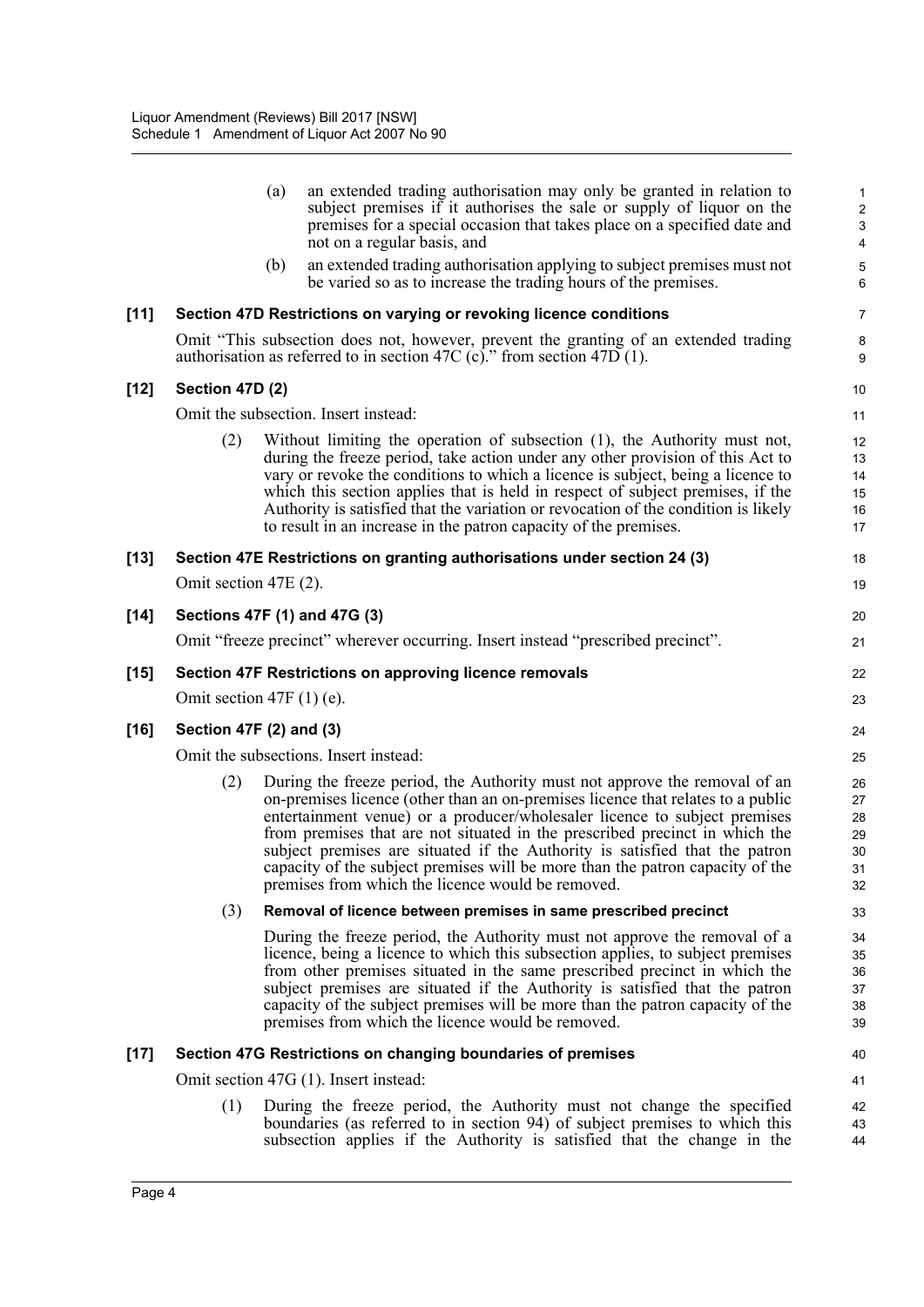|        |                             | (a) | an extended trading authorisation may only be granted in relation to<br>subject premises if it authorises the sale or supply of liquor on the<br>premises for a special occasion that takes place on a specified date and<br>not on a regular basis, and                                                                                                                                                                                                                                                                                       | 1<br>$\overline{\mathbf{c}}$<br>3<br>4 |
|--------|-----------------------------|-----|------------------------------------------------------------------------------------------------------------------------------------------------------------------------------------------------------------------------------------------------------------------------------------------------------------------------------------------------------------------------------------------------------------------------------------------------------------------------------------------------------------------------------------------------|----------------------------------------|
|        |                             | (b) | an extended trading authorisation applying to subject premises must not<br>be varied so as to increase the trading hours of the premises.                                                                                                                                                                                                                                                                                                                                                                                                      | 5<br>6                                 |
| $[11]$ |                             |     | Section 47D Restrictions on varying or revoking licence conditions                                                                                                                                                                                                                                                                                                                                                                                                                                                                             | 7                                      |
|        |                             |     | Omit "This subsection does not, however, prevent the granting of an extended trading<br>authorisation as referred to in section 47C (c)." from section 47D (1).                                                                                                                                                                                                                                                                                                                                                                                | 8<br>9                                 |
| $[12]$ | Section 47D (2)             |     |                                                                                                                                                                                                                                                                                                                                                                                                                                                                                                                                                | 10                                     |
|        |                             |     | Omit the subsection. Insert instead:                                                                                                                                                                                                                                                                                                                                                                                                                                                                                                           | 11                                     |
|        | (2)                         |     | Without limiting the operation of subsection (1), the Authority must not,<br>during the freeze period, take action under any other provision of this Act to<br>vary or revoke the conditions to which a licence is subject, being a licence to<br>which this section applies that is held in respect of subject premises, if the<br>Authority is satisfied that the variation or revocation of the condition is likely<br>to result in an increase in the patron capacity of the premises.                                                     | 12<br>13<br>14<br>15<br>16<br>17       |
| $[13]$ |                             |     | Section 47E Restrictions on granting authorisations under section 24 (3)                                                                                                                                                                                                                                                                                                                                                                                                                                                                       | 18                                     |
|        | Omit section 47E (2).       |     |                                                                                                                                                                                                                                                                                                                                                                                                                                                                                                                                                | 19                                     |
| $[14]$ |                             |     | Sections 47F (1) and 47G (3)                                                                                                                                                                                                                                                                                                                                                                                                                                                                                                                   | 20                                     |
|        |                             |     | Omit "freeze precinct" wherever occurring. Insert instead "prescribed precinct".                                                                                                                                                                                                                                                                                                                                                                                                                                                               | 21                                     |
| $[15]$ |                             |     | Section 47F Restrictions on approving licence removals                                                                                                                                                                                                                                                                                                                                                                                                                                                                                         | 22                                     |
|        | Omit section 47F $(1)$ (e). |     |                                                                                                                                                                                                                                                                                                                                                                                                                                                                                                                                                | 23                                     |
| $[16]$ | Section 47F (2) and (3)     |     |                                                                                                                                                                                                                                                                                                                                                                                                                                                                                                                                                | 24                                     |
|        |                             |     | Omit the subsections. Insert instead:                                                                                                                                                                                                                                                                                                                                                                                                                                                                                                          | 25                                     |
|        | (2)                         |     | During the freeze period, the Authority must not approve the removal of an<br>on-premises licence (other than an on-premises licence that relates to a public<br>entertainment venue) or a producer/wholesaler licence to subject premises<br>from premises that are not situated in the prescribed precinct in which the<br>subject premises are situated if the Authority is satisfied that the patron<br>capacity of the subject premises will be more than the patron capacity of the<br>premises from which the licence would be removed. | 26<br>27<br>28<br>29<br>30<br>31<br>32 |
|        | (3)                         |     | Removal of licence between premises in same prescribed precinct                                                                                                                                                                                                                                                                                                                                                                                                                                                                                | 33                                     |
|        |                             |     | During the freeze period, the Authority must not approve the removal of a<br>licence, being a licence to which this subsection applies, to subject premises<br>from other premises situated in the same prescribed precinct in which the<br>subject premises are situated if the Authority is satisfied that the patron<br>capacity of the subject premises will be more than the patron capacity of the<br>premises from which the licence would be removed.                                                                                  | 34<br>35<br>36<br>37<br>38<br>39       |
| $[17]$ |                             |     | Section 47G Restrictions on changing boundaries of premises                                                                                                                                                                                                                                                                                                                                                                                                                                                                                    | 40                                     |
|        |                             |     | Omit section 47G (1). Insert instead:                                                                                                                                                                                                                                                                                                                                                                                                                                                                                                          | 41                                     |
|        | (1)                         |     | During the freeze period, the Authority must not change the specified<br>boundaries (as referred to in section 94) of subject premises to which this<br>subsection applies if the Authority is satisfied that the change in the                                                                                                                                                                                                                                                                                                                | 42<br>43<br>44                         |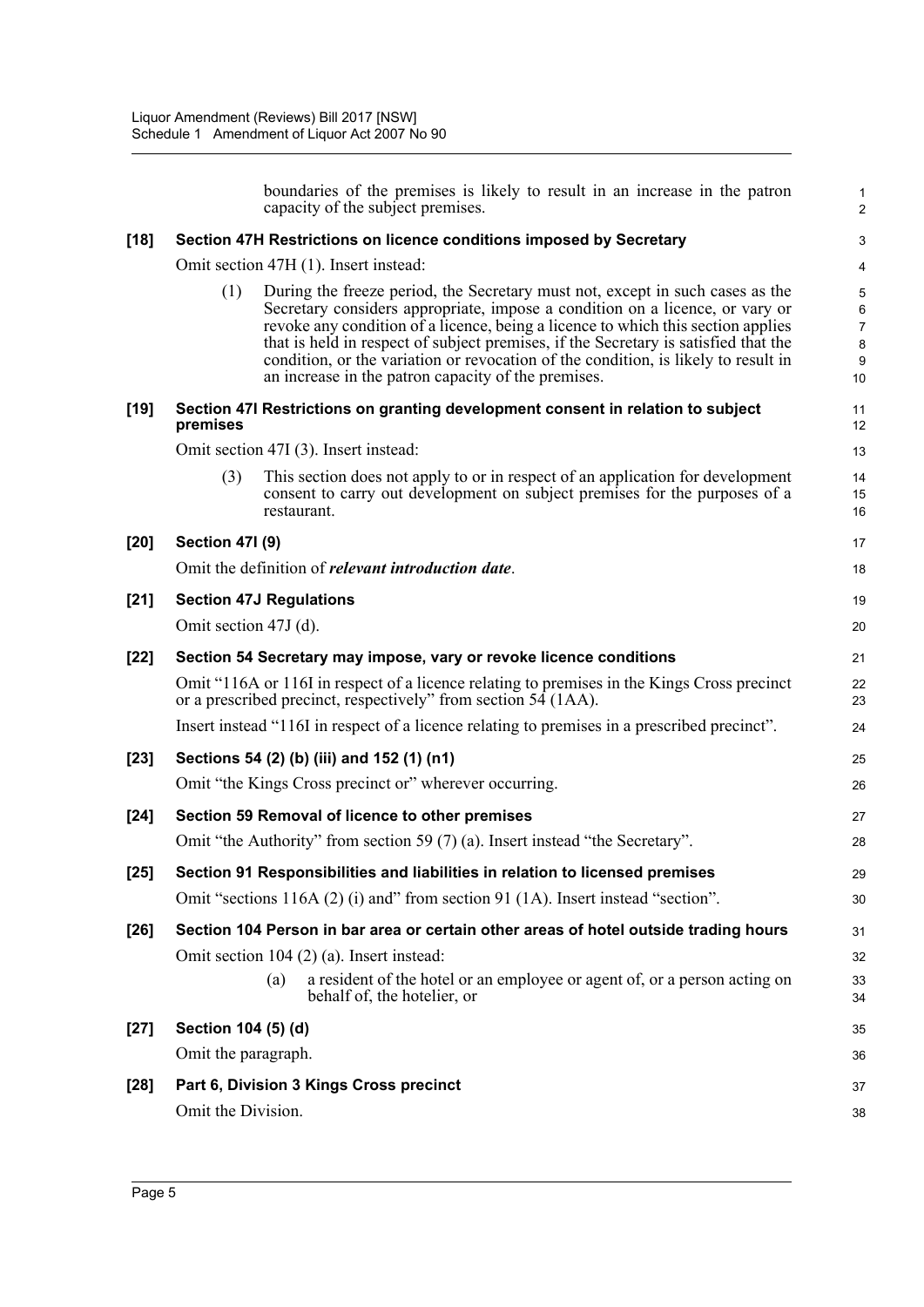|        |                       | boundaries of the premises is likely to result in an increase in the patron<br>capacity of the subject premises.                                                                                                                                                                                                                                                                                                                                                                      | 1<br>$\overline{a}$         |
|--------|-----------------------|---------------------------------------------------------------------------------------------------------------------------------------------------------------------------------------------------------------------------------------------------------------------------------------------------------------------------------------------------------------------------------------------------------------------------------------------------------------------------------------|-----------------------------|
| $[18]$ |                       | Section 47H Restrictions on licence conditions imposed by Secretary                                                                                                                                                                                                                                                                                                                                                                                                                   | 3                           |
|        |                       | Omit section 47H (1). Insert instead:                                                                                                                                                                                                                                                                                                                                                                                                                                                 | 4                           |
|        | (1)                   | During the freeze period, the Secretary must not, except in such cases as the<br>Secretary considers appropriate, impose a condition on a licence, or vary or<br>revoke any condition of a licence, being a licence to which this section applies<br>that is held in respect of subject premises, if the Secretary is satisfied that the<br>condition, or the variation or revocation of the condition, is likely to result in<br>an increase in the patron capacity of the premises. | 5<br>6<br>7<br>8<br>9<br>10 |
| $[19]$ | premises              | Section 47I Restrictions on granting development consent in relation to subject                                                                                                                                                                                                                                                                                                                                                                                                       | 11<br>12                    |
|        |                       | Omit section 47I (3). Insert instead:                                                                                                                                                                                                                                                                                                                                                                                                                                                 | 13                          |
|        | (3)                   | This section does not apply to or in respect of an application for development<br>consent to carry out development on subject premises for the purposes of a<br>restaurant.                                                                                                                                                                                                                                                                                                           | 14<br>15<br>16              |
| $[20]$ | Section 471 (9)       |                                                                                                                                                                                                                                                                                                                                                                                                                                                                                       | 17                          |
|        |                       | Omit the definition of <i>relevant introduction date</i> .                                                                                                                                                                                                                                                                                                                                                                                                                            | 18                          |
| $[21]$ |                       | <b>Section 47J Regulations</b>                                                                                                                                                                                                                                                                                                                                                                                                                                                        | 19                          |
|        | Omit section 47J (d). |                                                                                                                                                                                                                                                                                                                                                                                                                                                                                       | 20                          |
| $[22]$ |                       | Section 54 Secretary may impose, vary or revoke licence conditions                                                                                                                                                                                                                                                                                                                                                                                                                    | 21                          |
|        |                       | Omit "116A or 116I in respect of a licence relating to premises in the Kings Cross precinct<br>or a prescribed precinct, respectively" from section 54 (1AA).                                                                                                                                                                                                                                                                                                                         | 22<br>23                    |
|        |                       | Insert instead "116I in respect of a licence relating to premises in a prescribed precinct".                                                                                                                                                                                                                                                                                                                                                                                          | 24                          |
| $[23]$ |                       | Sections 54 (2) (b) (iii) and 152 (1) (n1)                                                                                                                                                                                                                                                                                                                                                                                                                                            | 25                          |
|        |                       | Omit "the Kings Cross precinct or" wherever occurring.                                                                                                                                                                                                                                                                                                                                                                                                                                | 26                          |
| $[24]$ |                       | Section 59 Removal of licence to other premises                                                                                                                                                                                                                                                                                                                                                                                                                                       | 27                          |
|        |                       | Omit "the Authority" from section 59 (7) (a). Insert instead "the Secretary".                                                                                                                                                                                                                                                                                                                                                                                                         | 28                          |
| $[25]$ |                       | Section 91 Responsibilities and liabilities in relation to licensed premises                                                                                                                                                                                                                                                                                                                                                                                                          | 29                          |
|        |                       | Omit "sections 116A (2) (i) and" from section 91 (1A). Insert instead "section".                                                                                                                                                                                                                                                                                                                                                                                                      | 30                          |
| $[26]$ |                       | Section 104 Person in bar area or certain other areas of hotel outside trading hours                                                                                                                                                                                                                                                                                                                                                                                                  | 31                          |
|        |                       | Omit section 104 (2) (a). Insert instead:<br>a resident of the hotel or an employee or agent of, or a person acting on<br>(a)                                                                                                                                                                                                                                                                                                                                                         | 32                          |
|        |                       | behalf of, the hotelier, or                                                                                                                                                                                                                                                                                                                                                                                                                                                           | 33<br>34                    |
| $[27]$ | Section 104 (5) (d)   |                                                                                                                                                                                                                                                                                                                                                                                                                                                                                       | 35                          |
|        | Omit the paragraph.   |                                                                                                                                                                                                                                                                                                                                                                                                                                                                                       | 36                          |
| $[28]$ |                       | Part 6, Division 3 Kings Cross precinct                                                                                                                                                                                                                                                                                                                                                                                                                                               | 37                          |
|        | Omit the Division.    |                                                                                                                                                                                                                                                                                                                                                                                                                                                                                       | 38                          |
|        |                       |                                                                                                                                                                                                                                                                                                                                                                                                                                                                                       |                             |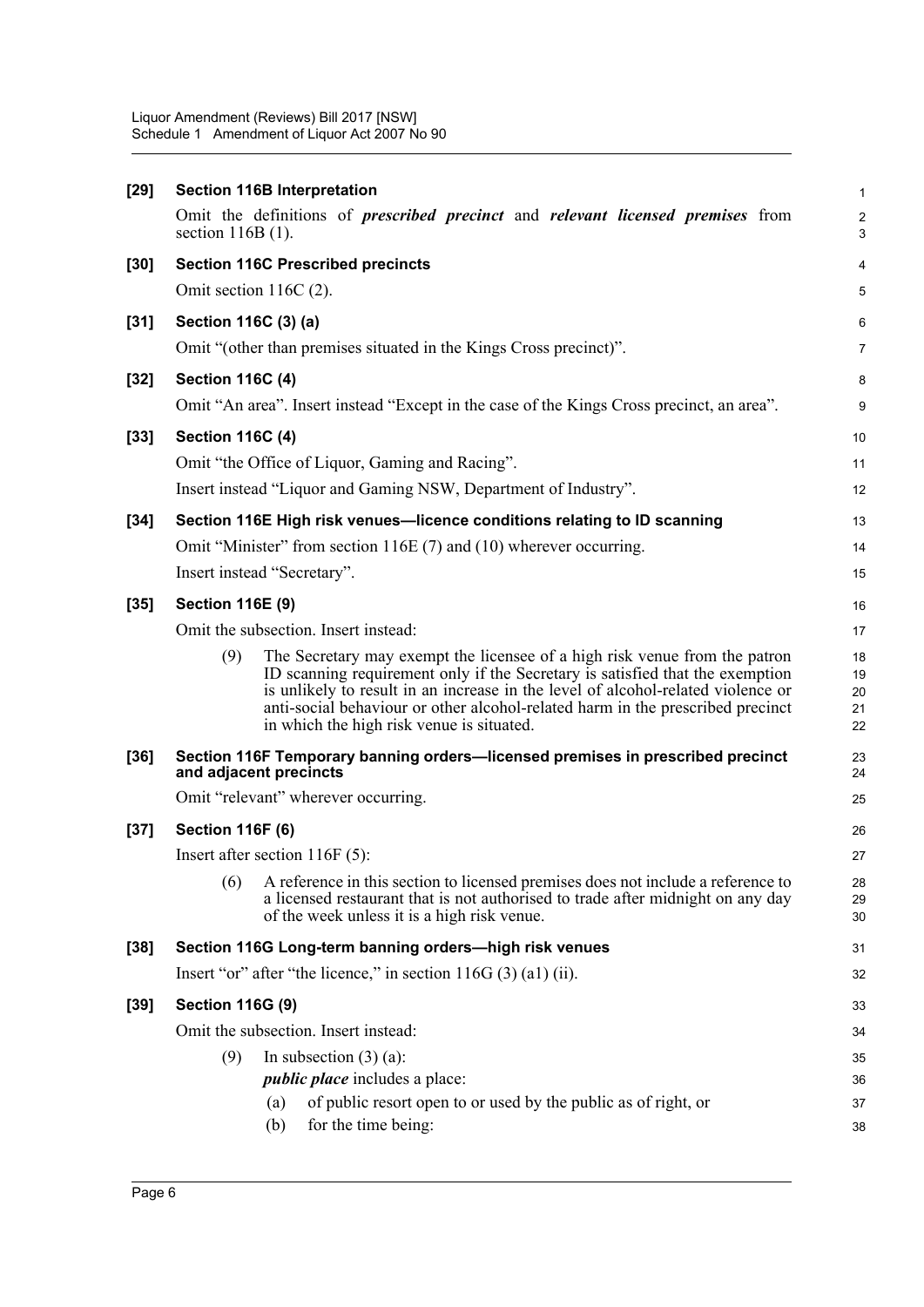Liquor Amendment (Reviews) Bill 2017 [NSW] Schedule 1 Amendment of Liquor Act 2007 No 90

| $[29]$ | <b>Section 116B Interpretation</b>                                                                                                                                                                                                                                                                                                                                                    | $\mathbf{1}$               |
|--------|---------------------------------------------------------------------------------------------------------------------------------------------------------------------------------------------------------------------------------------------------------------------------------------------------------------------------------------------------------------------------------------|----------------------------|
|        | Omit the definitions of <i>prescribed precinct</i> and <i>relevant licensed premises</i> from<br>section $116B(1)$ .                                                                                                                                                                                                                                                                  | $\boldsymbol{2}$<br>3      |
| $[30]$ | <b>Section 116C Prescribed precincts</b>                                                                                                                                                                                                                                                                                                                                              | $\overline{4}$             |
|        | Omit section $116C(2)$ .                                                                                                                                                                                                                                                                                                                                                              | 5                          |
| $[31]$ | Section 116C (3) (a)                                                                                                                                                                                                                                                                                                                                                                  | 6                          |
|        | Omit "(other than premises situated in the Kings Cross precinct)".                                                                                                                                                                                                                                                                                                                    | $\overline{7}$             |
| $[32]$ | <b>Section 116C (4)</b>                                                                                                                                                                                                                                                                                                                                                               | 8                          |
|        | Omit "An area". Insert instead "Except in the case of the Kings Cross precinct, an area".                                                                                                                                                                                                                                                                                             | 9                          |
| $[33]$ | <b>Section 116C (4)</b>                                                                                                                                                                                                                                                                                                                                                               | 10                         |
|        | Omit "the Office of Liquor, Gaming and Racing".                                                                                                                                                                                                                                                                                                                                       | 11                         |
|        | Insert instead "Liquor and Gaming NSW, Department of Industry".                                                                                                                                                                                                                                                                                                                       | 12                         |
| $[34]$ | Section 116E High risk venues-licence conditions relating to ID scanning                                                                                                                                                                                                                                                                                                              | 13                         |
|        | Omit "Minister" from section 116E (7) and (10) wherever occurring.                                                                                                                                                                                                                                                                                                                    | 14                         |
|        | Insert instead "Secretary".                                                                                                                                                                                                                                                                                                                                                           | 15                         |
| $[35]$ | <b>Section 116E (9)</b>                                                                                                                                                                                                                                                                                                                                                               | 16                         |
|        | Omit the subsection. Insert instead:                                                                                                                                                                                                                                                                                                                                                  | 17                         |
|        | (9)<br>The Secretary may exempt the licensee of a high risk venue from the patron<br>ID scanning requirement only if the Secretary is satisfied that the exemption<br>is unlikely to result in an increase in the level of alcohol-related violence or<br>anti-social behaviour or other alcohol-related harm in the prescribed precinct<br>in which the high risk venue is situated. | 18<br>19<br>20<br>21<br>22 |
| $[36]$ | Section 116F Temporary banning orders-licensed premises in prescribed precinct<br>and adjacent precincts                                                                                                                                                                                                                                                                              | 23<br>24                   |
|        | Omit "relevant" wherever occurring.                                                                                                                                                                                                                                                                                                                                                   | 25                         |
| $[37]$ | <b>Section 116F (6)</b>                                                                                                                                                                                                                                                                                                                                                               | 26                         |
|        | Insert after section $116F(5)$ :                                                                                                                                                                                                                                                                                                                                                      | 27                         |
|        | (6)<br>A reference in this section to licensed premises does not include a reference to<br>a licensed restaurant that is not authorised to trade after midnight on any day<br>of the week unless it is a high risk venue.                                                                                                                                                             | 28<br>29<br>30             |
| $[38]$ | Section 116G Long-term banning orders-high risk venues                                                                                                                                                                                                                                                                                                                                | 31                         |
|        | Insert "or" after "the licence," in section $116G(3)$ (a1) (ii).                                                                                                                                                                                                                                                                                                                      | 32                         |
| $[39]$ | <b>Section 116G (9)</b>                                                                                                                                                                                                                                                                                                                                                               | 33                         |
|        | Omit the subsection. Insert instead:                                                                                                                                                                                                                                                                                                                                                  | 34                         |
|        | (9)<br>In subsection $(3)$ (a):                                                                                                                                                                                                                                                                                                                                                       | 35                         |
|        | <i>public place</i> includes a place:                                                                                                                                                                                                                                                                                                                                                 | 36                         |
|        | of public resort open to or used by the public as of right, or<br>(a)                                                                                                                                                                                                                                                                                                                 | 37                         |
|        | for the time being:<br>(b)                                                                                                                                                                                                                                                                                                                                                            | 38                         |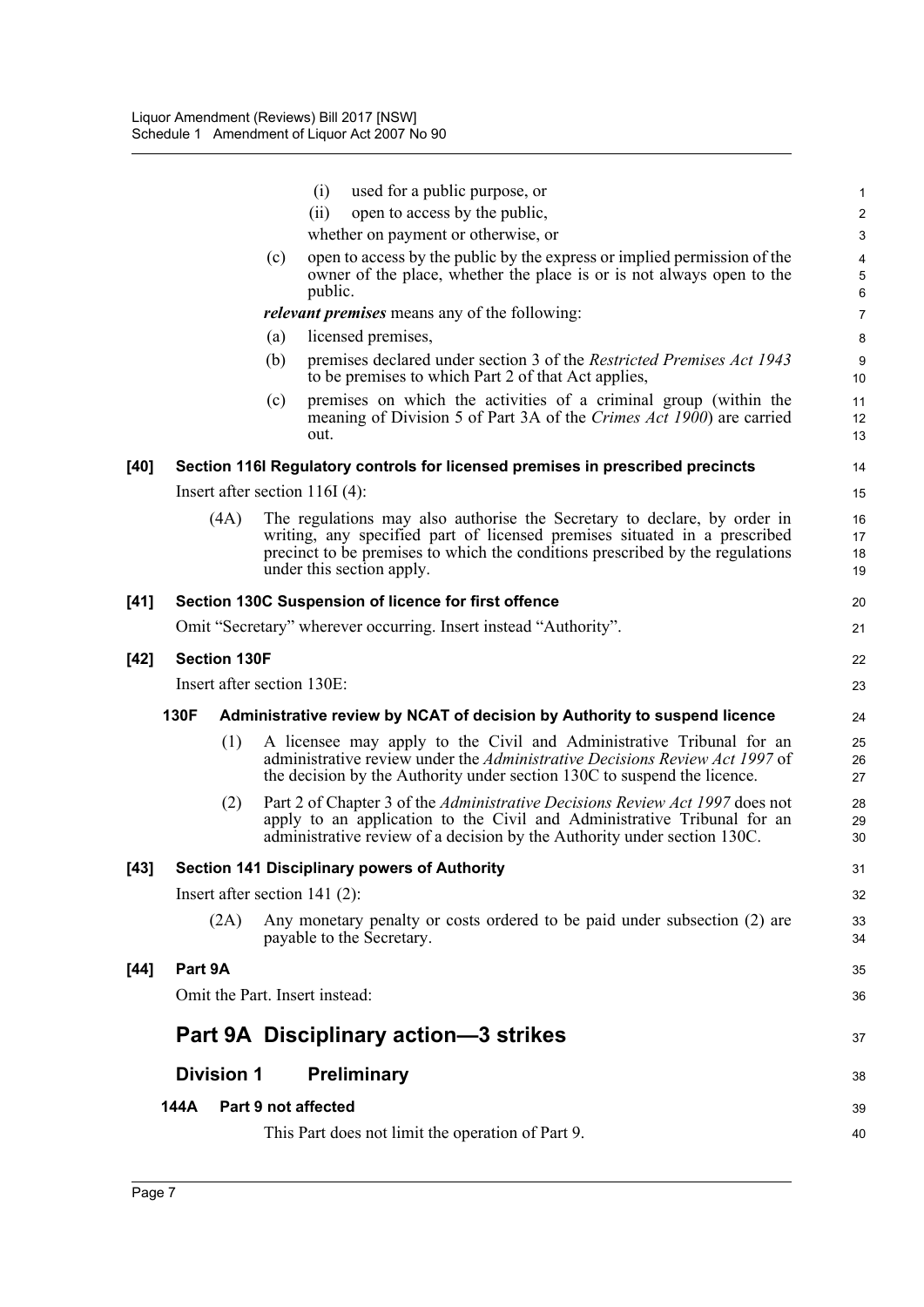|        |                     | (i)<br>used for a public purpose, or                                                                                                                                                                                                                                | $\mathbf{1}$                          |
|--------|---------------------|---------------------------------------------------------------------------------------------------------------------------------------------------------------------------------------------------------------------------------------------------------------------|---------------------------------------|
|        |                     | open to access by the public,<br>(ii)                                                                                                                                                                                                                               | $\boldsymbol{2}$                      |
|        |                     | whether on payment or otherwise, or                                                                                                                                                                                                                                 | $\ensuremath{\mathsf{3}}$             |
|        |                     | open to access by the public by the express or implied permission of the<br>(c)<br>owner of the place, whether the place is or is not always open to the<br>public.                                                                                                 | $\overline{4}$<br>$\overline{5}$<br>6 |
|        |                     | <i>relevant premises</i> means any of the following:                                                                                                                                                                                                                | $\overline{7}$                        |
|        |                     | licensed premises,<br>(a)                                                                                                                                                                                                                                           | 8                                     |
|        |                     | (b)<br>premises declared under section 3 of the Restricted Premises Act 1943<br>to be premises to which Part 2 of that Act applies,                                                                                                                                 | 9<br>10                               |
|        |                     | premises on which the activities of a criminal group (within the<br>(c)<br>meaning of Division 5 of Part 3A of the Crimes Act 1900) are carried<br>out.                                                                                                             | 11<br>12<br>13                        |
| [40]   |                     | Section 116I Regulatory controls for licensed premises in prescribed precincts                                                                                                                                                                                      | 14                                    |
|        |                     | Insert after section $116I(4)$ :                                                                                                                                                                                                                                    | 15                                    |
|        | (4A)                | The regulations may also authorise the Secretary to declare, by order in<br>writing, any specified part of licensed premises situated in a prescribed<br>precinct to be premises to which the conditions prescribed by the regulations<br>under this section apply. | 16<br>17<br>18<br>19                  |
| [41]   |                     | Section 130C Suspension of licence for first offence                                                                                                                                                                                                                | 20                                    |
|        |                     | Omit "Secretary" wherever occurring. Insert instead "Authority".                                                                                                                                                                                                    | 21                                    |
| $[42]$ | <b>Section 130F</b> |                                                                                                                                                                                                                                                                     | 22                                    |
|        |                     | Insert after section 130E:                                                                                                                                                                                                                                          | 23                                    |
|        |                     |                                                                                                                                                                                                                                                                     |                                       |
|        | 130F                | Administrative review by NCAT of decision by Authority to suspend licence                                                                                                                                                                                           | 24                                    |
|        | (1)                 | A licensee may apply to the Civil and Administrative Tribunal for an<br>administrative review under the Administrative Decisions Review Act 1997 of<br>the decision by the Authority under section 130C to suspend the licence.                                     | 25<br>26<br>27                        |
|        | (2)                 | Part 2 of Chapter 3 of the Administrative Decisions Review Act 1997 does not<br>apply to an application to the Civil and Administrative Tribunal for an<br>administrative review of a decision by the Authority under section 130C.                                 | 28<br>29<br>30                        |
| $[43]$ |                     | <b>Section 141 Disciplinary powers of Authority</b>                                                                                                                                                                                                                 | 31                                    |
|        |                     | Insert after section 141 $(2)$ :                                                                                                                                                                                                                                    | 32                                    |
|        | (2A)                | Any monetary penalty or costs ordered to be paid under subsection (2) are<br>payable to the Secretary.                                                                                                                                                              | 33<br>34                              |
| [44]   | Part 9A             |                                                                                                                                                                                                                                                                     | 35                                    |
|        |                     | Omit the Part. Insert instead:                                                                                                                                                                                                                                      | 36                                    |
|        |                     |                                                                                                                                                                                                                                                                     |                                       |
|        |                     | Part 9A Disciplinary action-3 strikes                                                                                                                                                                                                                               | 37                                    |
|        | <b>Division 1</b>   | <b>Preliminary</b>                                                                                                                                                                                                                                                  | 38                                    |
|        | 144A                | Part 9 not affected                                                                                                                                                                                                                                                 | 39                                    |
|        |                     | This Part does not limit the operation of Part 9.                                                                                                                                                                                                                   | 40                                    |
|        |                     |                                                                                                                                                                                                                                                                     |                                       |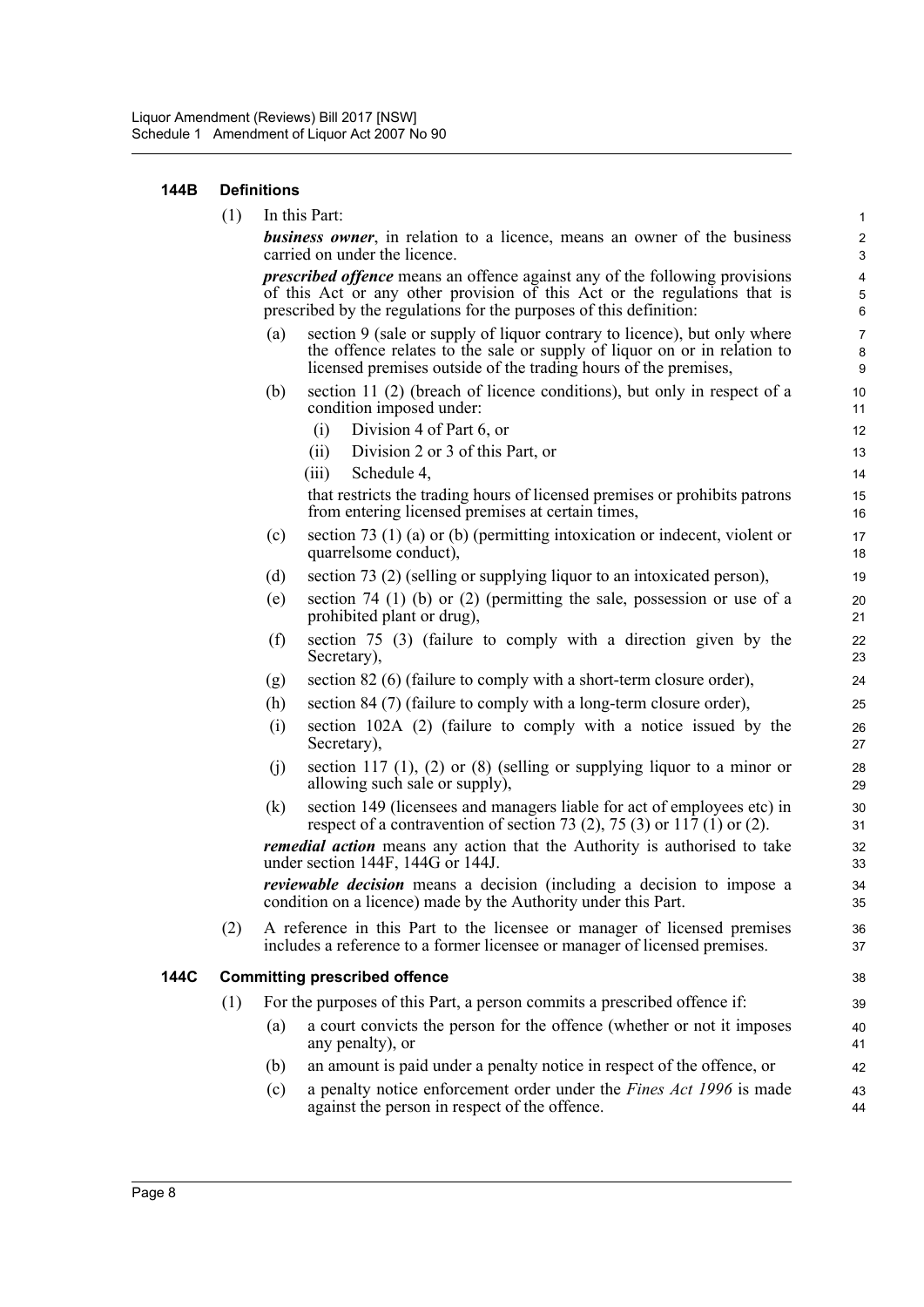### **144B Definitions**

|      | (1) |     | In this Part:                                                                                                                                                                                                                         | $\mathbf{1}$                                   |
|------|-----|-----|---------------------------------------------------------------------------------------------------------------------------------------------------------------------------------------------------------------------------------------|------------------------------------------------|
|      |     |     | <b>business owner</b> , in relation to a licence, means an owner of the business<br>carried on under the licence.                                                                                                                     | $\overline{c}$<br>$\mathsf 3$                  |
|      |     |     | <i>prescribed offence</i> means an offence against any of the following provisions<br>of this Act or any other provision of this Act or the regulations that is<br>prescribed by the regulations for the purposes of this definition: | $\overline{\mathbf{4}}$<br>$\overline{5}$<br>6 |
|      |     | (a) | section 9 (sale or supply of liquor contrary to licence), but only where<br>the offence relates to the sale or supply of liquor on or in relation to<br>licensed premises outside of the trading hours of the premises,               | $\overline{7}$<br>$\bf 8$<br>$\boldsymbol{9}$  |
|      |     | (b) | section 11 (2) (breach of licence conditions), but only in respect of a<br>condition imposed under:                                                                                                                                   | 10<br>11                                       |
|      |     |     | Division 4 of Part 6, or<br>(i)                                                                                                                                                                                                       | 12                                             |
|      |     |     | Division 2 or 3 of this Part, or<br>(ii)                                                                                                                                                                                              | 13                                             |
|      |     |     | Schedule 4,<br>(iii)                                                                                                                                                                                                                  | 14                                             |
|      |     |     | that restricts the trading hours of licensed premises or prohibits patrons<br>from entering licensed premises at certain times,                                                                                                       | 15<br>16                                       |
|      |     | (c) | section 73 $(1)$ (a) or (b) (permitting intoxication or indecent, violent or<br>quarrelsome conduct),                                                                                                                                 | 17<br>18                                       |
|      |     | (d) | section 73 (2) (selling or supplying liquor to an intoxicated person),                                                                                                                                                                | 19                                             |
|      |     | (e) | section 74 (1) (b) or (2) (permitting the sale, possession or use of a<br>prohibited plant or drug),                                                                                                                                  | 20<br>21                                       |
|      |     | (f) | section 75 (3) (failure to comply with a direction given by the<br>Secretary),                                                                                                                                                        | 22<br>23                                       |
|      |     | (g) | section 82 (6) (failure to comply with a short-term closure order),                                                                                                                                                                   | 24                                             |
|      |     | (h) | section 84 (7) (failure to comply with a long-term closure order),                                                                                                                                                                    | 25                                             |
|      |     | (i) | section 102A (2) (failure to comply with a notice issued by the<br>Secretary),                                                                                                                                                        | 26<br>27                                       |
|      |     | (j) | section 117 $(1)$ , $(2)$ or $(8)$ (selling or supplying liquor to a minor or<br>allowing such sale or supply),                                                                                                                       | 28<br>29                                       |
|      |     | (k) | section 149 (licensees and managers liable for act of employees etc) in<br>respect of a contravention of section 73 (2), 75 (3) or 117 (1) or (2).                                                                                    | 30<br>31                                       |
|      |     |     | <i>remedial action</i> means any action that the Authority is authorised to take<br>under section 144F, 144G or 144J.                                                                                                                 | 32<br>33                                       |
|      |     |     | <i>reviewable decision</i> means a decision (including a decision to impose a<br>condition on a licence) made by the Authority under this Part.                                                                                       | 34<br>35                                       |
|      | (2) |     | A reference in this Part to the licensee or manager of licensed premises<br>includes a reference to a former licensee or manager of licensed premises.                                                                                | 36<br>37                                       |
| 144C |     |     | <b>Committing prescribed offence</b>                                                                                                                                                                                                  | 38                                             |
|      | (1) |     | For the purposes of this Part, a person commits a prescribed offence if:                                                                                                                                                              | 39                                             |
|      |     | (a) | a court convicts the person for the offence (whether or not it imposes<br>any penalty), or                                                                                                                                            | 40<br>41                                       |
|      |     | (b) | an amount is paid under a penalty notice in respect of the offence, or                                                                                                                                                                | 42                                             |
|      |     | (c) | a penalty notice enforcement order under the Fines Act 1996 is made                                                                                                                                                                   | 43                                             |

(c) a penalty notice enforcement order under the *Fines Act 1996* is made against the person in respect of the offence.

44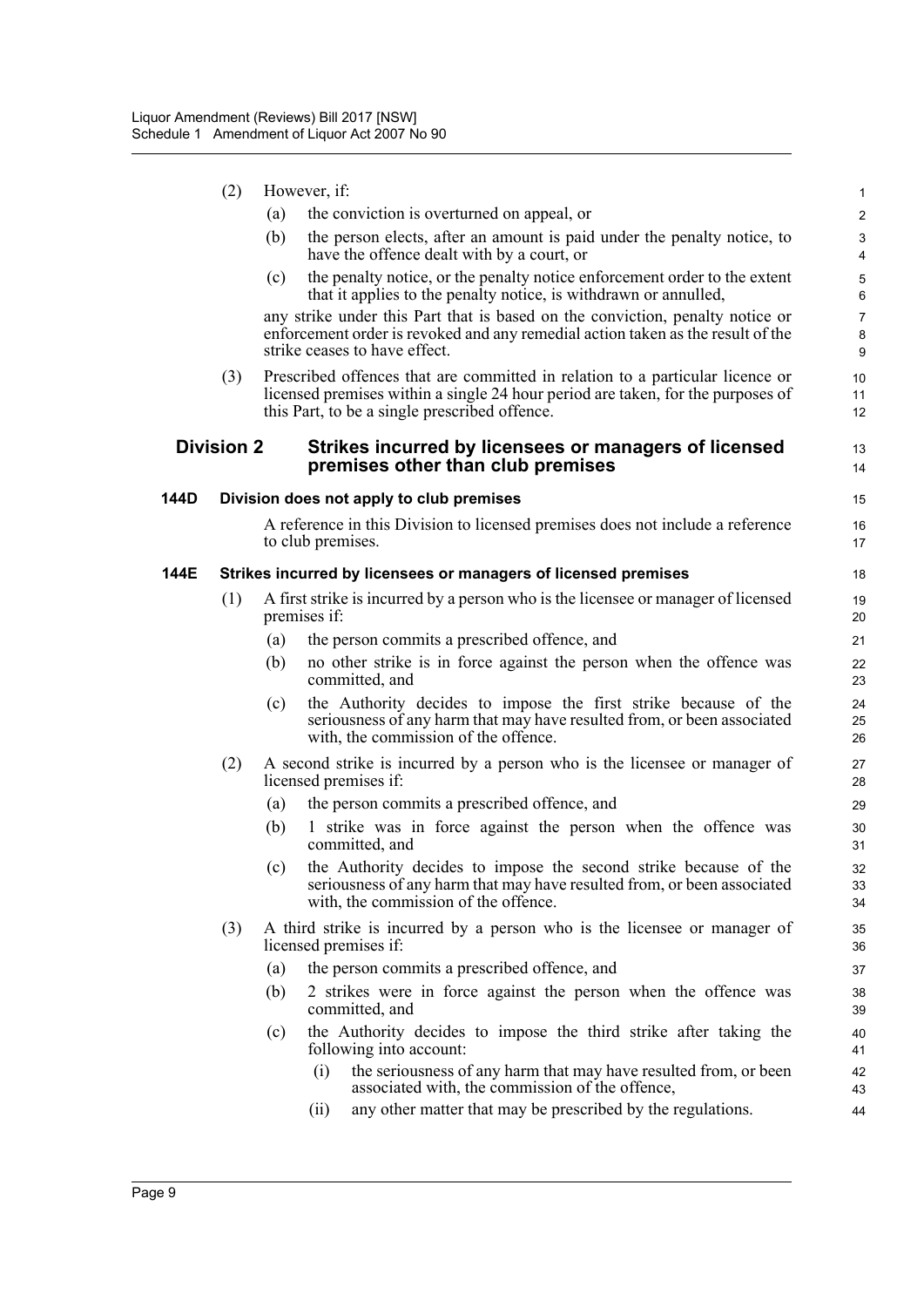|      | (2)               |     | However, if:                                                                                                                                                                                                      | $\mathbf{1}$             |
|------|-------------------|-----|-------------------------------------------------------------------------------------------------------------------------------------------------------------------------------------------------------------------|--------------------------|
|      |                   | (a) | the conviction is overturned on appeal, or                                                                                                                                                                        | $\overline{2}$           |
|      |                   | (b) | the person elects, after an amount is paid under the penalty notice, to<br>have the offence dealt with by a court, or                                                                                             | 3<br>$\overline{4}$      |
|      |                   | (c) | the penalty notice, or the penalty notice enforcement order to the extent<br>that it applies to the penalty notice, is withdrawn or annulled,                                                                     | 5<br>6                   |
|      |                   |     | any strike under this Part that is based on the conviction, penalty notice or<br>enforcement order is revoked and any remedial action taken as the result of the<br>strike ceases to have effect.                 | $\overline{7}$<br>8<br>9 |
|      | (3)               |     | Prescribed offences that are committed in relation to a particular licence or<br>licensed premises within a single 24 hour period are taken, for the purposes of<br>this Part, to be a single prescribed offence. | 10<br>11<br>12           |
|      | <b>Division 2</b> |     | Strikes incurred by licensees or managers of licensed<br>premises other than club premises                                                                                                                        | 13<br>14                 |
| 144D |                   |     | Division does not apply to club premises                                                                                                                                                                          | 15                       |
|      |                   |     | A reference in this Division to licensed premises does not include a reference<br>to club premises.                                                                                                               | 16<br>17                 |
| 144E |                   |     | Strikes incurred by licensees or managers of licensed premises                                                                                                                                                    | 18                       |
|      | (1)               |     | A first strike is incurred by a person who is the licensee or manager of licensed<br>premises if:                                                                                                                 | 19<br>20                 |
|      |                   | (a) | the person commits a prescribed offence, and                                                                                                                                                                      | 21                       |
|      |                   | (b) | no other strike is in force against the person when the offence was<br>committed, and                                                                                                                             | 22<br>23                 |
|      |                   | (c) | the Authority decides to impose the first strike because of the<br>seriousness of any harm that may have resulted from, or been associated<br>with, the commission of the offence.                                | 24<br>25<br>26           |
|      | (2)               |     | A second strike is incurred by a person who is the licensee or manager of<br>licensed premises if:                                                                                                                | 27<br>28                 |
|      |                   | (a) | the person commits a prescribed offence, and                                                                                                                                                                      | 29                       |
|      |                   | (b) | 1 strike was in force against the person when the offence was<br>committed, and                                                                                                                                   | 30<br>31                 |
|      |                   | (c) | the Authority decides to impose the second strike because of the<br>seriousness of any harm that may have resulted from, or been associated<br>with, the commission of the offence.                               | 32<br>33<br>34           |
|      | (3)               |     | A third strike is incurred by a person who is the licensee or manager of<br>licensed premises if:                                                                                                                 | 35<br>36                 |
|      |                   | (a) | the person commits a prescribed offence, and                                                                                                                                                                      | 37                       |
|      |                   | (b) | 2 strikes were in force against the person when the offence was<br>committed, and                                                                                                                                 | 38<br>39                 |
|      |                   | (c) | the Authority decides to impose the third strike after taking the<br>following into account:                                                                                                                      | 40<br>41                 |
|      |                   |     | the seriousness of any harm that may have resulted from, or been<br>(i)<br>associated with, the commission of the offence,                                                                                        | 42<br>43                 |
|      |                   |     | any other matter that may be prescribed by the regulations.<br>(ii)                                                                                                                                               | 44                       |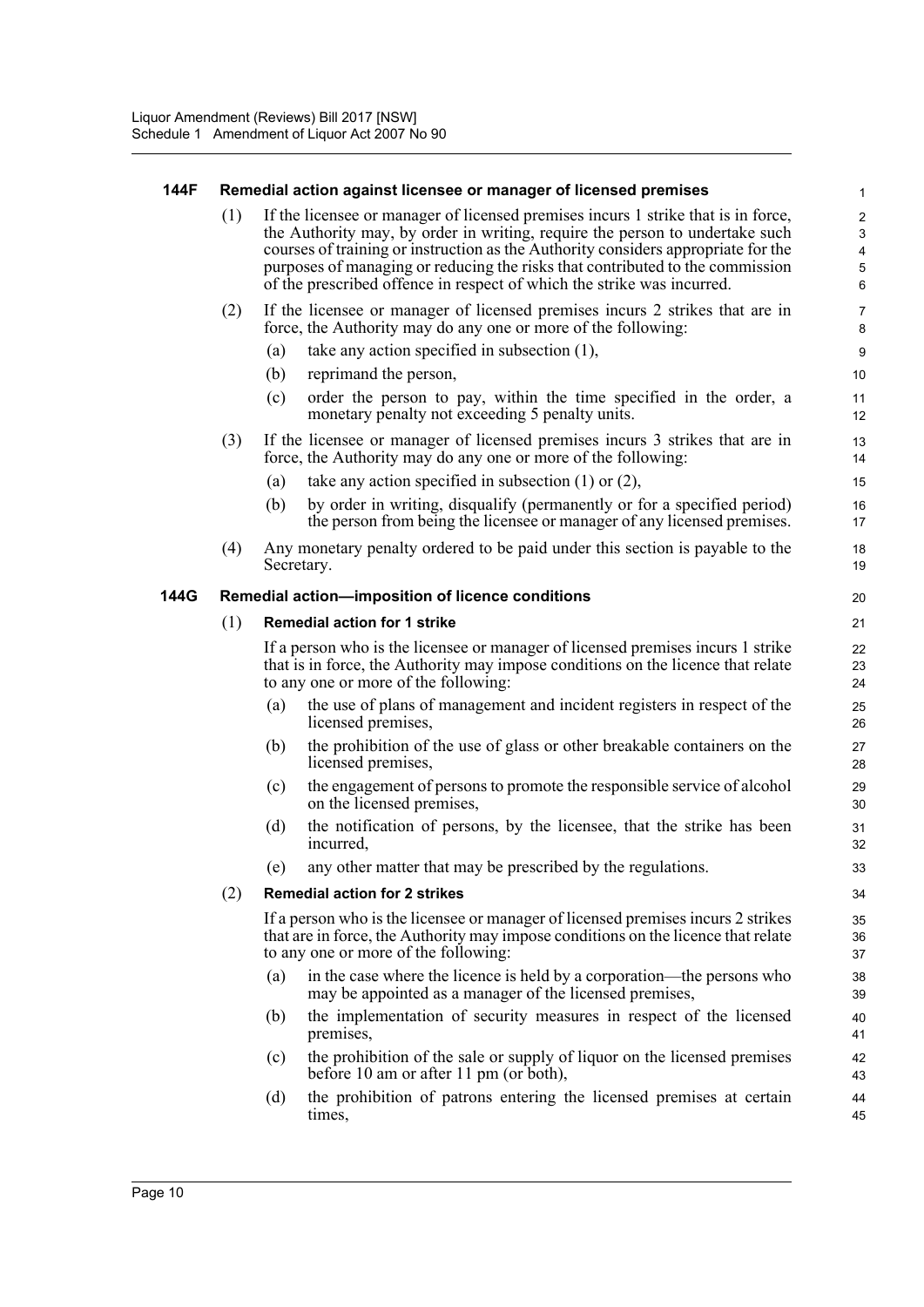### **144F Remedial action against licensee or manager of licensed premises**

(1) If the licensee or manager of licensed premises incurs 1 strike that is in force, the Authority may, by order in writing, require the person to undertake such courses of training or instruction as the Authority considers appropriate for the purposes of managing or reducing the risks that contributed to the commission of the prescribed offence in respect of which the strike was incurred.

- (2) If the licensee or manager of licensed premises incurs 2 strikes that are in force, the Authority may do any one or more of the following:
	- (a) take any action specified in subsection (1),
	- (b) reprimand the person,
	- (c) order the person to pay, within the time specified in the order, a monetary penalty not exceeding 5 penalty units.
- (3) If the licensee or manager of licensed premises incurs 3 strikes that are in force, the Authority may do any one or more of the following:
	- (a) take any action specified in subsection (1) or (2),
	- (b) by order in writing, disqualify (permanently or for a specified period) the person from being the licensee or manager of any licensed premises.
- (4) Any monetary penalty ordered to be paid under this section is payable to the Secretary.

### **144G Remedial action—imposition of licence conditions**

### (1) **Remedial action for 1 strike**

If a person who is the licensee or manager of licensed premises incurs 1 strike that is in force, the Authority may impose conditions on the licence that relate to any one or more of the following:

- (a) the use of plans of management and incident registers in respect of the licensed premises,
- (b) the prohibition of the use of glass or other breakable containers on the licensed premises,
- (c) the engagement of persons to promote the responsible service of alcohol on the licensed premises,
- (d) the notification of persons, by the licensee, that the strike has been incurred,
- (e) any other matter that may be prescribed by the regulations.

### (2) **Remedial action for 2 strikes**

If a person who is the licensee or manager of licensed premises incurs 2 strikes that are in force, the Authority may impose conditions on the licence that relate to any one or more of the following:

- (a) in the case where the licence is held by a corporation—the persons who may be appointed as a manager of the licensed premises,
- (b) the implementation of security measures in respect of the licensed premises,
- (c) the prohibition of the sale or supply of liquor on the licensed premises before 10 am or after 11 pm (or both),
- (d) the prohibition of patrons entering the licensed premises at certain times,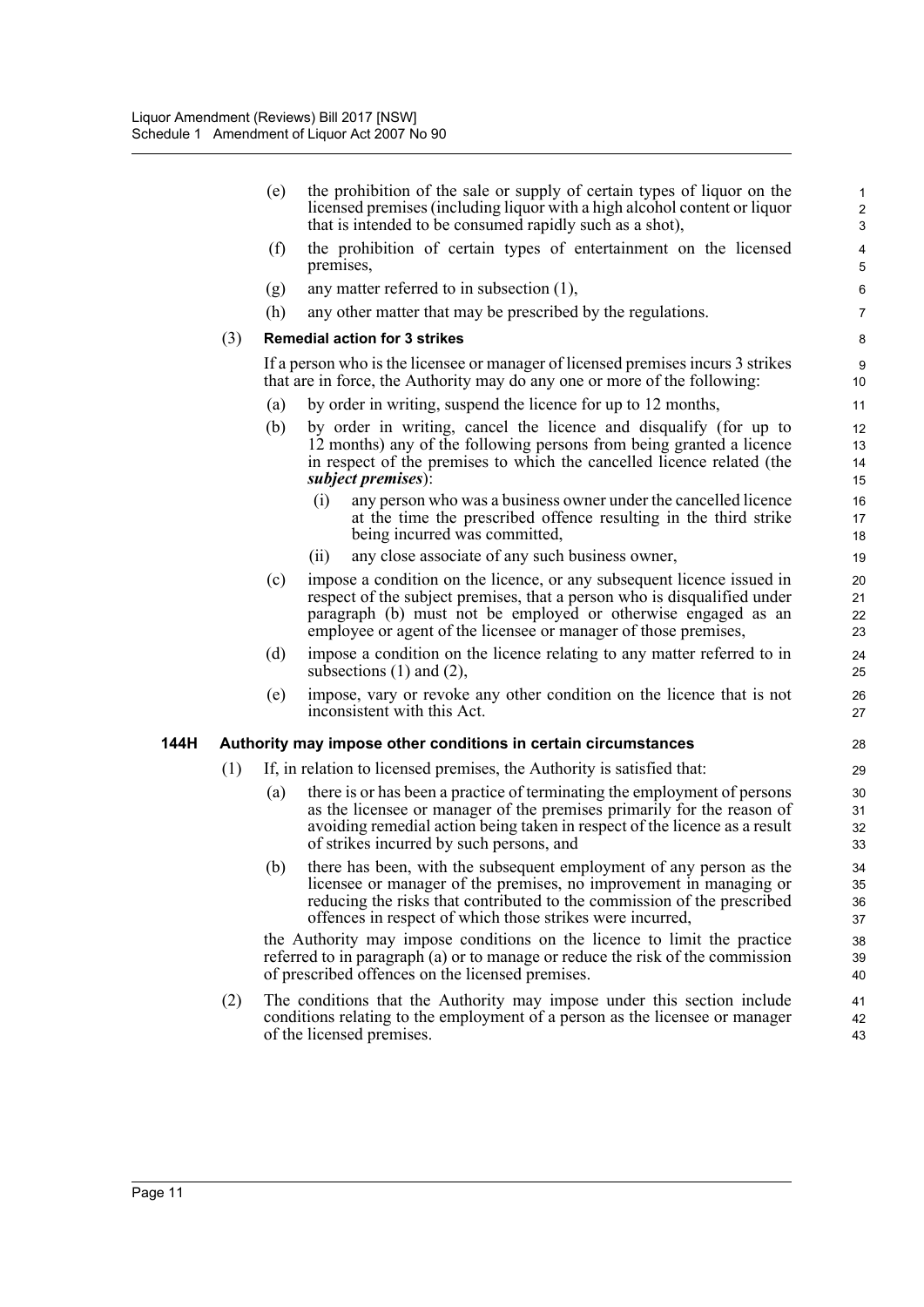|      |     | (e) | the prohibition of the sale or supply of certain types of liquor on the<br>licensed premises (including liquor with a high alcohol content or liquor<br>that is intended to be consumed rapidly such as a shot),                                                                       | 1<br>$\overline{c}$<br>3 |
|------|-----|-----|----------------------------------------------------------------------------------------------------------------------------------------------------------------------------------------------------------------------------------------------------------------------------------------|--------------------------|
|      |     | (f) | the prohibition of certain types of entertainment on the licensed<br>premises,                                                                                                                                                                                                         | $\overline{4}$<br>5      |
|      |     | (g) | any matter referred to in subsection $(1)$ ,                                                                                                                                                                                                                                           | 6                        |
|      |     | (h) | any other matter that may be prescribed by the regulations.                                                                                                                                                                                                                            | $\overline{7}$           |
|      | (3) |     | <b>Remedial action for 3 strikes</b>                                                                                                                                                                                                                                                   | 8                        |
|      |     |     | If a person who is the licensee or manager of licensed premises incurs 3 strikes<br>that are in force, the Authority may do any one or more of the following:                                                                                                                          | 9<br>10                  |
|      |     | (a) | by order in writing, suspend the licence for up to 12 months,                                                                                                                                                                                                                          | 11                       |
|      |     | (b) | by order in writing, cancel the licence and disqualify (for up to<br>12 months) any of the following persons from being granted a licence<br>in respect of the premises to which the cancelled licence related (the<br>subject premises):                                              | 12<br>13<br>14<br>15     |
|      |     |     | (i)<br>any person who was a business owner under the cancelled licence<br>at the time the prescribed offence resulting in the third strike<br>being incurred was committed,                                                                                                            | 16<br>17<br>18           |
|      |     |     | any close associate of any such business owner,<br>(ii)                                                                                                                                                                                                                                | 19                       |
|      |     | (c) | impose a condition on the licence, or any subsequent licence issued in<br>respect of the subject premises, that a person who is disqualified under<br>paragraph (b) must not be employed or otherwise engaged as an<br>employee or agent of the licensee or manager of those premises, | 20<br>21<br>22<br>23     |
|      |     | (d) | impose a condition on the licence relating to any matter referred to in<br>subsections $(1)$ and $(2)$ ,                                                                                                                                                                               | 24<br>25                 |
|      |     | (e) | impose, vary or revoke any other condition on the licence that is not<br>inconsistent with this Act.                                                                                                                                                                                   | 26<br>27                 |
| 144H |     |     | Authority may impose other conditions in certain circumstances                                                                                                                                                                                                                         | 28                       |
|      | (1) |     | If, in relation to licensed premises, the Authority is satisfied that:                                                                                                                                                                                                                 | 29                       |
|      |     | (a) | there is or has been a practice of terminating the employment of persons<br>as the licensee or manager of the premises primarily for the reason of<br>avoiding remedial action being taken in respect of the licence as a result<br>of strikes incurred by such persons, and           | 30<br>31<br>32<br>33     |
|      |     | (b) | there has been, with the subsequent employment of any person as the<br>licensee or manager of the premises, no improvement in managing or<br>reducing the risks that contributed to the commission of the prescribed<br>offences in respect of which those strikes were incurred,      | 34<br>35<br>36<br>37     |
|      |     |     | the Authority may impose conditions on the licence to limit the practice<br>referred to in paragraph (a) or to manage or reduce the risk of the commission<br>of prescribed offences on the licensed premises.                                                                         | 38<br>39<br>40           |
|      | (2) |     | The conditions that the Authority may impose under this section include<br>conditions relating to the employment of a person as the licensee or manager<br>of the licensed premises.                                                                                                   | 41<br>42<br>43           |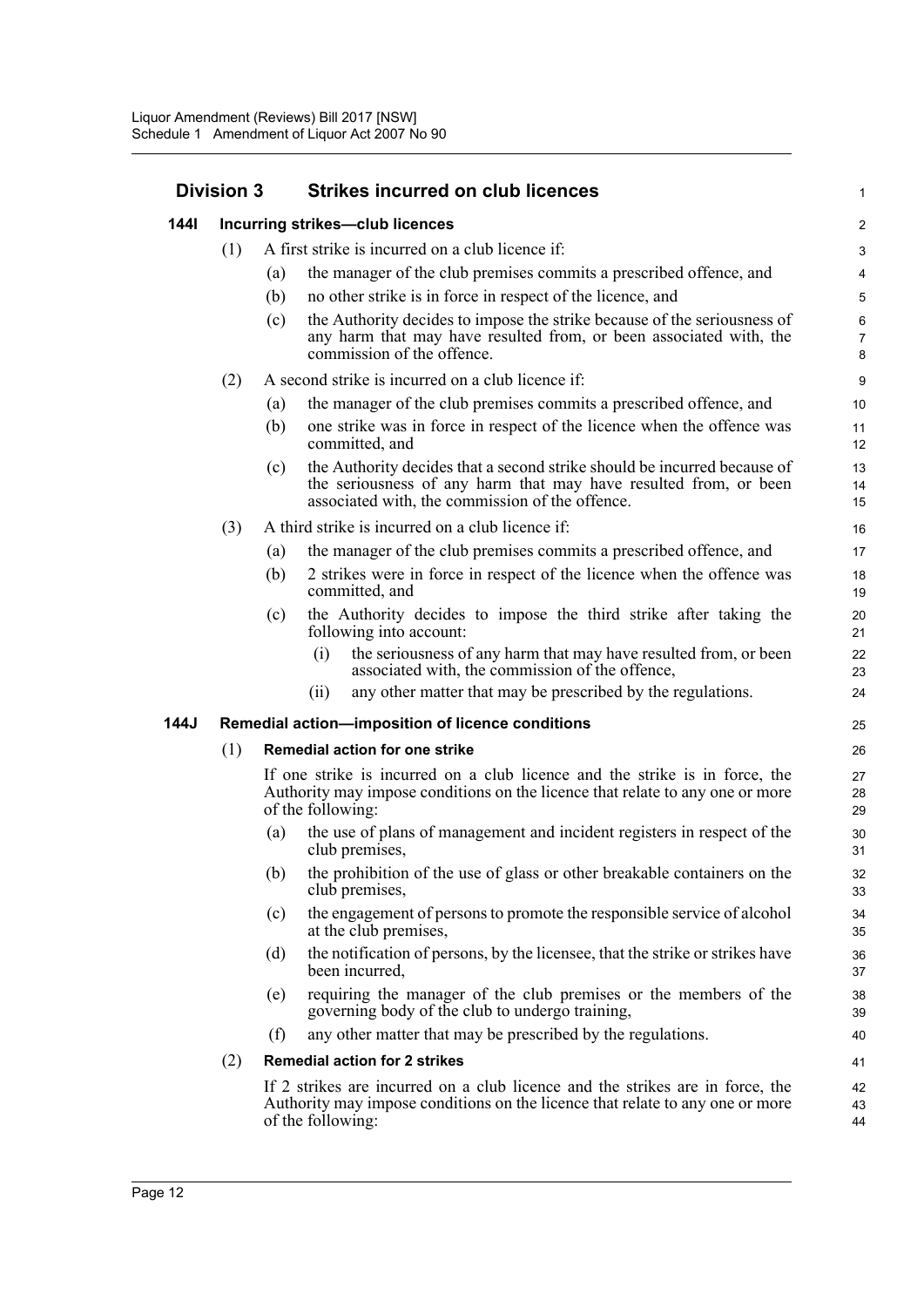| <b>Division 3</b> |     |     | <b>Strikes incurred on club licences</b>                                                                                                                                                        |                                |  |
|-------------------|-----|-----|-------------------------------------------------------------------------------------------------------------------------------------------------------------------------------------------------|--------------------------------|--|
| <b>1441</b>       |     |     | Incurring strikes-club licences                                                                                                                                                                 | $\overline{\mathbf{c}}$        |  |
|                   | (1) |     | A first strike is incurred on a club licence if:                                                                                                                                                | $\ensuremath{\mathsf{3}}$      |  |
|                   |     | (a) | the manager of the club premises commits a prescribed offence, and                                                                                                                              | $\overline{\mathbf{4}}$        |  |
|                   |     | (b) | no other strike is in force in respect of the licence, and                                                                                                                                      | $\overline{5}$                 |  |
|                   |     | (c) | the Authority decides to impose the strike because of the seriousness of<br>any harm that may have resulted from, or been associated with, the<br>commission of the offence.                    | $\,6\,$<br>$\overline{7}$<br>8 |  |
|                   | (2) |     | A second strike is incurred on a club licence if:                                                                                                                                               | 9                              |  |
|                   |     | (a) | the manager of the club premises commits a prescribed offence, and                                                                                                                              | 10                             |  |
|                   |     | (b) | one strike was in force in respect of the licence when the offence was<br>committed, and                                                                                                        | 11<br>12                       |  |
|                   |     | (c) | the Authority decides that a second strike should be incurred because of<br>the seriousness of any harm that may have resulted from, or been<br>associated with, the commission of the offence. | 13<br>14<br>15                 |  |
|                   | (3) |     | A third strike is incurred on a club licence if:                                                                                                                                                | 16                             |  |
|                   |     | (a) | the manager of the club premises commits a prescribed offence, and                                                                                                                              | 17                             |  |
|                   |     | (b) | 2 strikes were in force in respect of the licence when the offence was<br>committed, and                                                                                                        | 18<br>19                       |  |
|                   |     | (c) | the Authority decides to impose the third strike after taking the<br>following into account:                                                                                                    | 20<br>21                       |  |
|                   |     |     | the seriousness of any harm that may have resulted from, or been<br>(i)<br>associated with, the commission of the offence,                                                                      | 22<br>23                       |  |
|                   |     |     | any other matter that may be prescribed by the regulations.<br>(i)                                                                                                                              | 24                             |  |
| 144J              |     |     | Remedial action-imposition of licence conditions                                                                                                                                                | 25                             |  |
|                   | (1) |     | <b>Remedial action for one strike</b>                                                                                                                                                           | 26                             |  |
|                   |     |     | If one strike is incurred on a club licence and the strike is in force, the<br>Authority may impose conditions on the licence that relate to any one or more<br>of the following:               | 27<br>28<br>29                 |  |
|                   |     | (a) | the use of plans of management and incident registers in respect of the<br>club premises,                                                                                                       | 30<br>31                       |  |
|                   |     | (b) | the prohibition of the use of glass or other breakable containers on the<br>club premises,                                                                                                      | 32<br>33                       |  |
|                   |     | (c) | the engagement of persons to promote the responsible service of alcohol<br>at the club premises,                                                                                                | 34<br>35                       |  |
|                   |     | (d) | the notification of persons, by the licensee, that the strike or strikes have<br>been incurred,                                                                                                 | 36<br>37                       |  |
|                   |     | (e) | requiring the manager of the club premises or the members of the<br>governing body of the club to undergo training,                                                                             | 38<br>39                       |  |
|                   |     | (f) | any other matter that may be prescribed by the regulations.                                                                                                                                     | 40                             |  |
|                   | (2) |     | <b>Remedial action for 2 strikes</b>                                                                                                                                                            | 41                             |  |
|                   |     |     | If 2 strikes are incurred on a club licence and the strikes are in force, the<br>Authority may impose conditions on the licence that relate to any one or more<br>of the following:             | 42<br>43<br>44                 |  |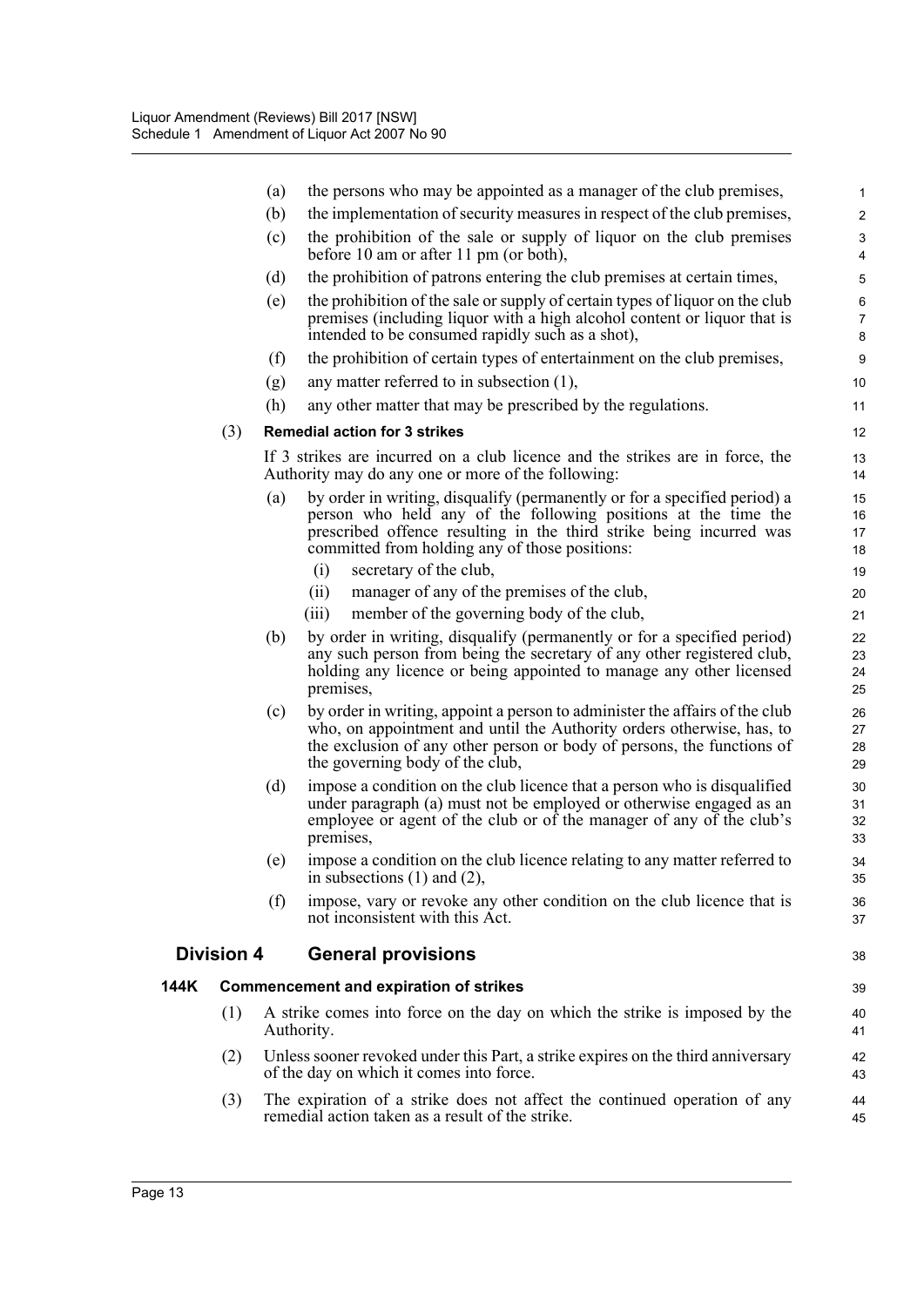|      |                   | (a) | the persons who may be appointed as a manager of the club premises,                                                                                                                                                                                                  | $\mathbf{1}$                   |
|------|-------------------|-----|----------------------------------------------------------------------------------------------------------------------------------------------------------------------------------------------------------------------------------------------------------------------|--------------------------------|
|      |                   | (b) | the implementation of security measures in respect of the club premises,                                                                                                                                                                                             | $\overline{2}$                 |
|      |                   | (c) | the prohibition of the sale or supply of liquor on the club premises<br>before 10 am or after 11 pm (or both),                                                                                                                                                       | $\ensuremath{\mathsf{3}}$<br>4 |
|      |                   | (d) | the prohibition of patrons entering the club premises at certain times,                                                                                                                                                                                              | $\overline{5}$                 |
|      |                   | (e) | the prohibition of the sale or supply of certain types of liquor on the club<br>premises (including liquor with a high alcohol content or liquor that is<br>intended to be consumed rapidly such as a shot),                                                         | $\,6\,$<br>$\overline{7}$<br>8 |
|      |                   | (f) | the prohibition of certain types of entertainment on the club premises,                                                                                                                                                                                              | $\boldsymbol{9}$               |
|      |                   | (g) | any matter referred to in subsection $(1)$ ,                                                                                                                                                                                                                         | 10                             |
|      |                   | (h) | any other matter that may be prescribed by the regulations.                                                                                                                                                                                                          | 11                             |
|      | (3)               |     | <b>Remedial action for 3 strikes</b>                                                                                                                                                                                                                                 | 12                             |
|      |                   |     | If 3 strikes are incurred on a club licence and the strikes are in force, the<br>Authority may do any one or more of the following:                                                                                                                                  | 13<br>14                       |
|      |                   | (a) | by order in writing, disqualify (permanently or for a specified period) a<br>person who held any of the following positions at the time the<br>prescribed offence resulting in the third strike being incurred was<br>committed from holding any of those positions: | 15<br>16<br>17<br>18           |
|      |                   |     | secretary of the club,<br>(i)                                                                                                                                                                                                                                        | 19                             |
|      |                   |     | (ii)<br>manager of any of the premises of the club,                                                                                                                                                                                                                  | 20                             |
|      |                   |     | (iii)<br>member of the governing body of the club,                                                                                                                                                                                                                   | 21                             |
|      |                   | (b) | by order in writing, disqualify (permanently or for a specified period)<br>any such person from being the secretary of any other registered club,<br>holding any licence or being appointed to manage any other licensed<br>premises,                                | 22<br>23<br>24<br>25           |
|      |                   | (c) | by order in writing, appoint a person to administer the affairs of the club<br>who, on appointment and until the Authority orders otherwise, has, to<br>the exclusion of any other person or body of persons, the functions of<br>the governing body of the club,    | 26<br>27<br>28<br>29           |
|      |                   | (d) | impose a condition on the club licence that a person who is disqualified<br>under paragraph (a) must not be employed or otherwise engaged as an<br>employee or agent of the club or of the manager of any of the club's<br>premises,                                 | 30<br>31<br>32<br>33           |
|      |                   | (e) | impose a condition on the club licence relating to any matter referred to<br>in subsections $(1)$ and $(2)$ ,                                                                                                                                                        | 34<br>35                       |
|      |                   | (f) | impose, vary or revoke any other condition on the club licence that is<br>not inconsistent with this Act.                                                                                                                                                            | 36<br>37                       |
|      | <b>Division 4</b> |     | <b>General provisions</b>                                                                                                                                                                                                                                            | 38                             |
| 144K |                   |     | <b>Commencement and expiration of strikes</b>                                                                                                                                                                                                                        | 39                             |
|      | (1)               |     | A strike comes into force on the day on which the strike is imposed by the<br>Authority.                                                                                                                                                                             | 40<br>41                       |
|      | (2)               |     | Unless sooner revoked under this Part, a strike expires on the third anniversary<br>of the day on which it comes into force.                                                                                                                                         | 42<br>43                       |
|      | (3)               |     | The expiration of a strike does not affect the continued operation of any<br>remedial action taken as a result of the strike.                                                                                                                                        | 44<br>45                       |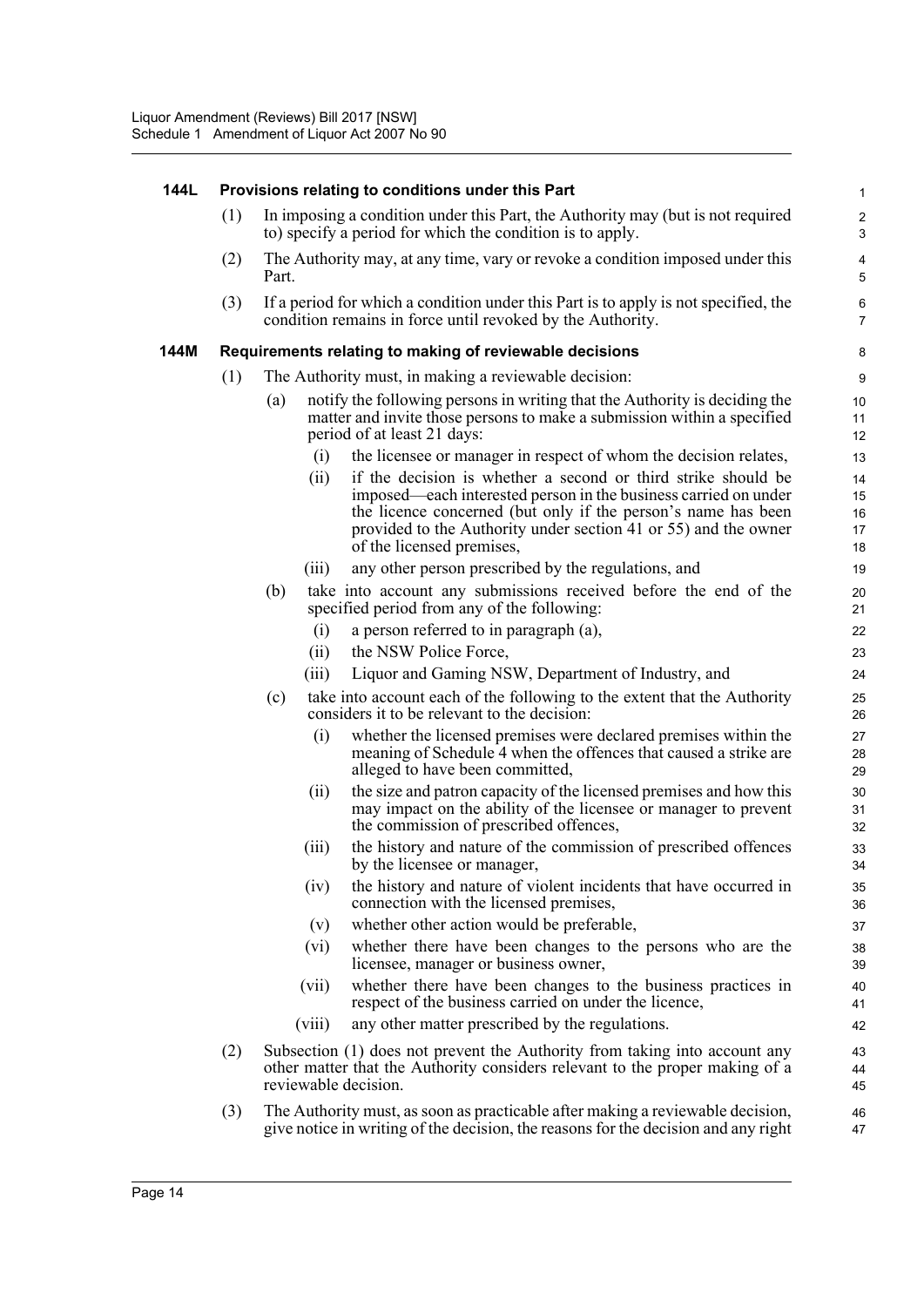#### **144L Provisions relating to conditions under this Part**

(1) In imposing a condition under this Part, the Authority may (but is not required to) specify a period for which the condition is to apply.

- (2) The Authority may, at any time, vary or revoke a condition imposed under this Part.
- (3) If a period for which a condition under this Part is to apply is not specified, the condition remains in force until revoked by the Authority.

### **144M Requirements relating to making of reviewable decisions**

- (1) The Authority must, in making a reviewable decision:
	- (a) notify the following persons in writing that the Authority is deciding the matter and invite those persons to make a submission within a specified period of at least 21 days:
		- (i) the licensee or manager in respect of whom the decision relates,
		- (ii) if the decision is whether a second or third strike should be imposed—each interested person in the business carried on under the licence concerned (but only if the person's name has been provided to the Authority under section 41 or 55) and the owner of the licensed premises,
		- (iii) any other person prescribed by the regulations, and
	- (b) take into account any submissions received before the end of the specified period from any of the following:
		- (i) a person referred to in paragraph (a),
		- (ii) the NSW Police Force,
		- (iii) Liquor and Gaming NSW, Department of Industry, and
	- (c) take into account each of the following to the extent that the Authority considers it to be relevant to the decision:
		- (i) whether the licensed premises were declared premises within the meaning of Schedule 4 when the offences that caused a strike are alleged to have been committed,
		- (ii) the size and patron capacity of the licensed premises and how this may impact on the ability of the licensee or manager to prevent the commission of prescribed offences,
		- (iii) the history and nature of the commission of prescribed offences by the licensee or manager,
		- (iv) the history and nature of violent incidents that have occurred in connection with the licensed premises,
		- (v) whether other action would be preferable,
		- (vi) whether there have been changes to the persons who are the licensee, manager or business owner,
		- (vii) whether there have been changes to the business practices in respect of the business carried on under the licence,
		- (viii) any other matter prescribed by the regulations.
- (2) Subsection (1) does not prevent the Authority from taking into account any other matter that the Authority considers relevant to the proper making of a reviewable decision.
- (3) The Authority must, as soon as practicable after making a reviewable decision, give notice in writing of the decision, the reasons for the decision and any right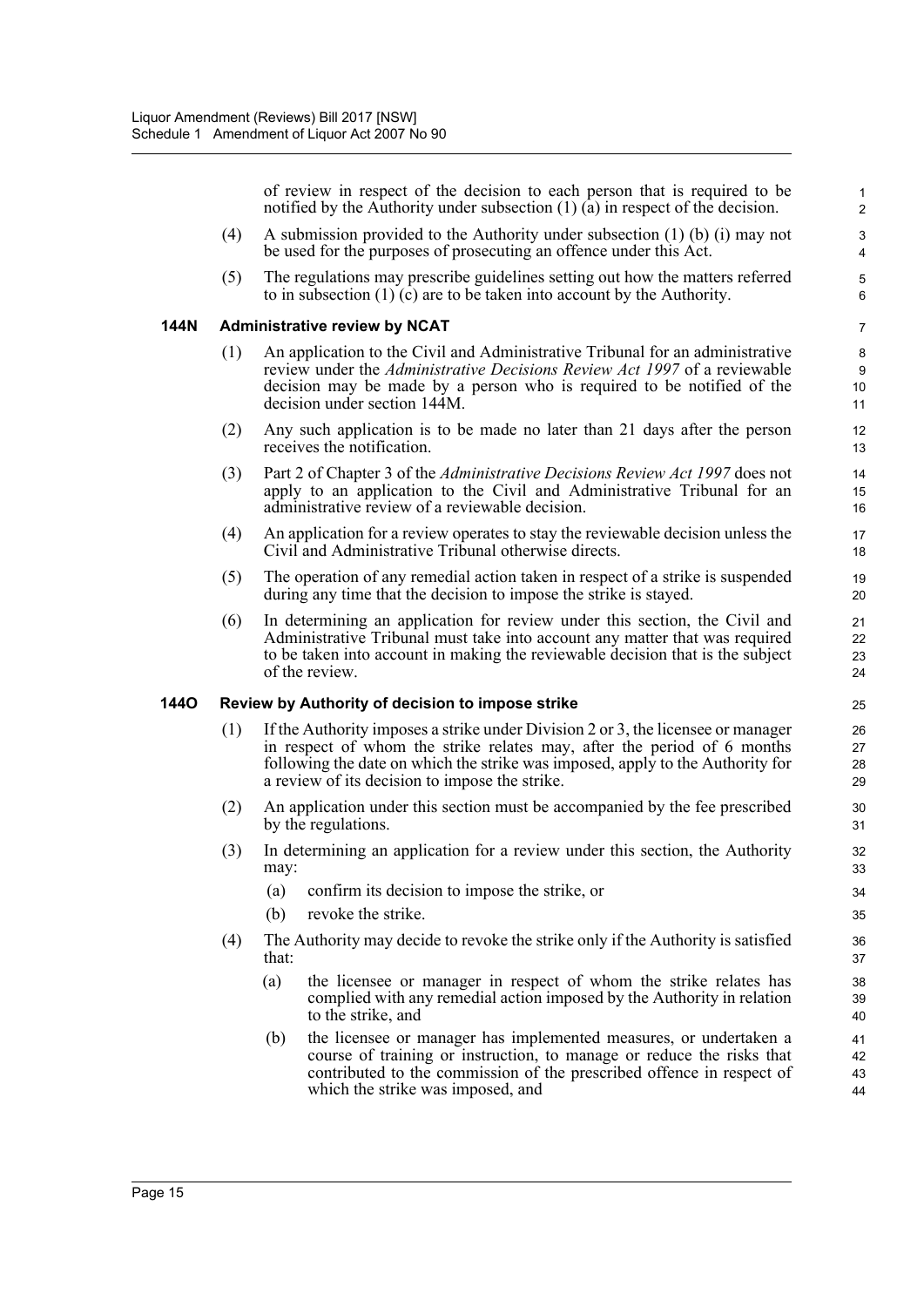of review in respect of the decision to each person that is required to be notified by the Authority under subsection (1) (a) in respect of the decision.

- (4) A submission provided to the Authority under subsection (1) (b) (i) may not be used for the purposes of prosecuting an offence under this Act.
- (5) The regulations may prescribe guidelines setting out how the matters referred to in subsection  $(1)$  (c) are to be taken into account by the Authority.

#### **144N Administrative review by NCAT**

- (1) An application to the Civil and Administrative Tribunal for an administrative review under the *Administrative Decisions Review Act 1997* of a reviewable decision may be made by a person who is required to be notified of the decision under section 144M.
- (2) Any such application is to be made no later than 21 days after the person receives the notification.
- (3) Part 2 of Chapter 3 of the *Administrative Decisions Review Act 1997* does not apply to an application to the Civil and Administrative Tribunal for an administrative review of a reviewable decision.
- (4) An application for a review operates to stay the reviewable decision unless the Civil and Administrative Tribunal otherwise directs.
- (5) The operation of any remedial action taken in respect of a strike is suspended during any time that the decision to impose the strike is stayed.
- (6) In determining an application for review under this section, the Civil and Administrative Tribunal must take into account any matter that was required to be taken into account in making the reviewable decision that is the subject of the review.

### **144O Review by Authority of decision to impose strike**

- (1) If the Authority imposes a strike under Division 2 or 3, the licensee or manager in respect of whom the strike relates may, after the period of 6 months following the date on which the strike was imposed, apply to the Authority for a review of its decision to impose the strike.
- (2) An application under this section must be accompanied by the fee prescribed by the regulations.
- (3) In determining an application for a review under this section, the Authority may:
	- (a) confirm its decision to impose the strike, or
	- (b) revoke the strike.
- (4) The Authority may decide to revoke the strike only if the Authority is satisfied that:
	- (a) the licensee or manager in respect of whom the strike relates has complied with any remedial action imposed by the Authority in relation to the strike, and
	- (b) the licensee or manager has implemented measures, or undertaken a course of training or instruction, to manage or reduce the risks that contributed to the commission of the prescribed offence in respect of which the strike was imposed, and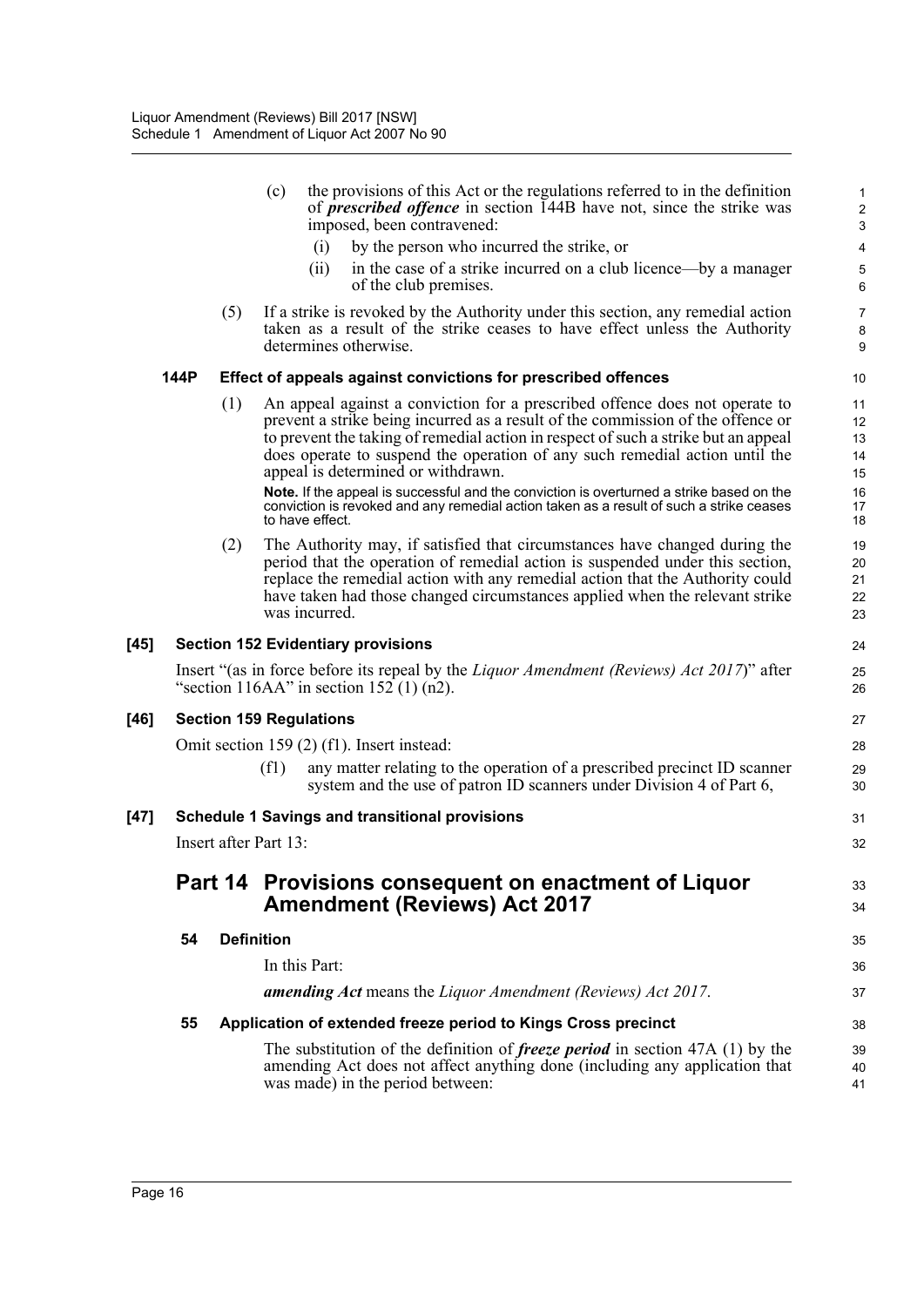|      |      |     | the provisions of this Act or the regulations referred to in the definition<br>(c)<br>of <i>prescribed offence</i> in section 144B have not, since the strike was<br>imposed, been contravened:                                                                                                                                                                           | 1<br>$\overline{c}$<br>$\mathsf 3$ |
|------|------|-----|---------------------------------------------------------------------------------------------------------------------------------------------------------------------------------------------------------------------------------------------------------------------------------------------------------------------------------------------------------------------------|------------------------------------|
|      |      |     | by the person who incurred the strike, or<br>(i)                                                                                                                                                                                                                                                                                                                          | 4                                  |
|      |      |     | in the case of a strike incurred on a club licence—by a manager<br>(i)<br>of the club premises.                                                                                                                                                                                                                                                                           | 5<br>6                             |
|      |      | (5) | If a strike is revoked by the Authority under this section, any remedial action<br>taken as a result of the strike ceases to have effect unless the Authority<br>determines otherwise.                                                                                                                                                                                    | $\overline{7}$<br>8<br>9           |
|      | 144P |     | Effect of appeals against convictions for prescribed offences                                                                                                                                                                                                                                                                                                             | 10                                 |
|      |      | (1) | An appeal against a conviction for a prescribed offence does not operate to<br>prevent a strike being incurred as a result of the commission of the offence or<br>to prevent the taking of remedial action in respect of such a strike but an appeal<br>does operate to suspend the operation of any such remedial action until the<br>appeal is determined or withdrawn. | 11<br>12<br>13<br>14<br>15         |
|      |      |     | Note. If the appeal is successful and the conviction is overturned a strike based on the<br>conviction is revoked and any remedial action taken as a result of such a strike ceases<br>to have effect.                                                                                                                                                                    | 16<br>17<br>18                     |
|      |      | (2) | The Authority may, if satisfied that circumstances have changed during the<br>period that the operation of remedial action is suspended under this section,<br>replace the remedial action with any remedial action that the Authority could<br>have taken had those changed circumstances applied when the relevant strike<br>was incurred.                              | 19<br>20<br>21<br>22<br>23         |
| [45] |      |     | <b>Section 152 Evidentiary provisions</b>                                                                                                                                                                                                                                                                                                                                 | 24                                 |
|      |      |     | Insert "(as in force before its repeal by the <i>Liquor Amendment (Reviews) Act 2017</i> )" after<br>"section 116AA" in section 152 $(1)$ (n2).                                                                                                                                                                                                                           | 25<br>26                           |
| [46] |      |     | <b>Section 159 Regulations</b>                                                                                                                                                                                                                                                                                                                                            | 27                                 |
|      |      |     | Omit section 159 (2) (f1). Insert instead:                                                                                                                                                                                                                                                                                                                                | 28                                 |
|      |      |     | (f1)<br>any matter relating to the operation of a prescribed precinct ID scanner<br>system and the use of patron ID scanners under Division 4 of Part 6,                                                                                                                                                                                                                  | 29<br>30                           |
| [47] |      |     | <b>Schedule 1 Savings and transitional provisions</b>                                                                                                                                                                                                                                                                                                                     | 31                                 |
|      |      |     | Insert after Part 13:                                                                                                                                                                                                                                                                                                                                                     | 32                                 |
|      |      |     | Part 14 Provisions consequent on enactment of Liquor<br><b>Amendment (Reviews) Act 2017</b>                                                                                                                                                                                                                                                                               | 33<br>34                           |
|      | 54   |     | <b>Definition</b>                                                                                                                                                                                                                                                                                                                                                         | 35                                 |
|      |      |     | In this Part:                                                                                                                                                                                                                                                                                                                                                             | 36                                 |
|      |      |     | amending Act means the Liquor Amendment (Reviews) Act 2017.                                                                                                                                                                                                                                                                                                               | 37                                 |
|      | 55   |     | Application of extended freeze period to Kings Cross precinct                                                                                                                                                                                                                                                                                                             | 38                                 |
|      |      |     | The substitution of the definition of <i>freeze period</i> in section 47A $(1)$ by the<br>amending Act does not affect anything done (including any application that<br>was made) in the period between:                                                                                                                                                                  | 39<br>40<br>41                     |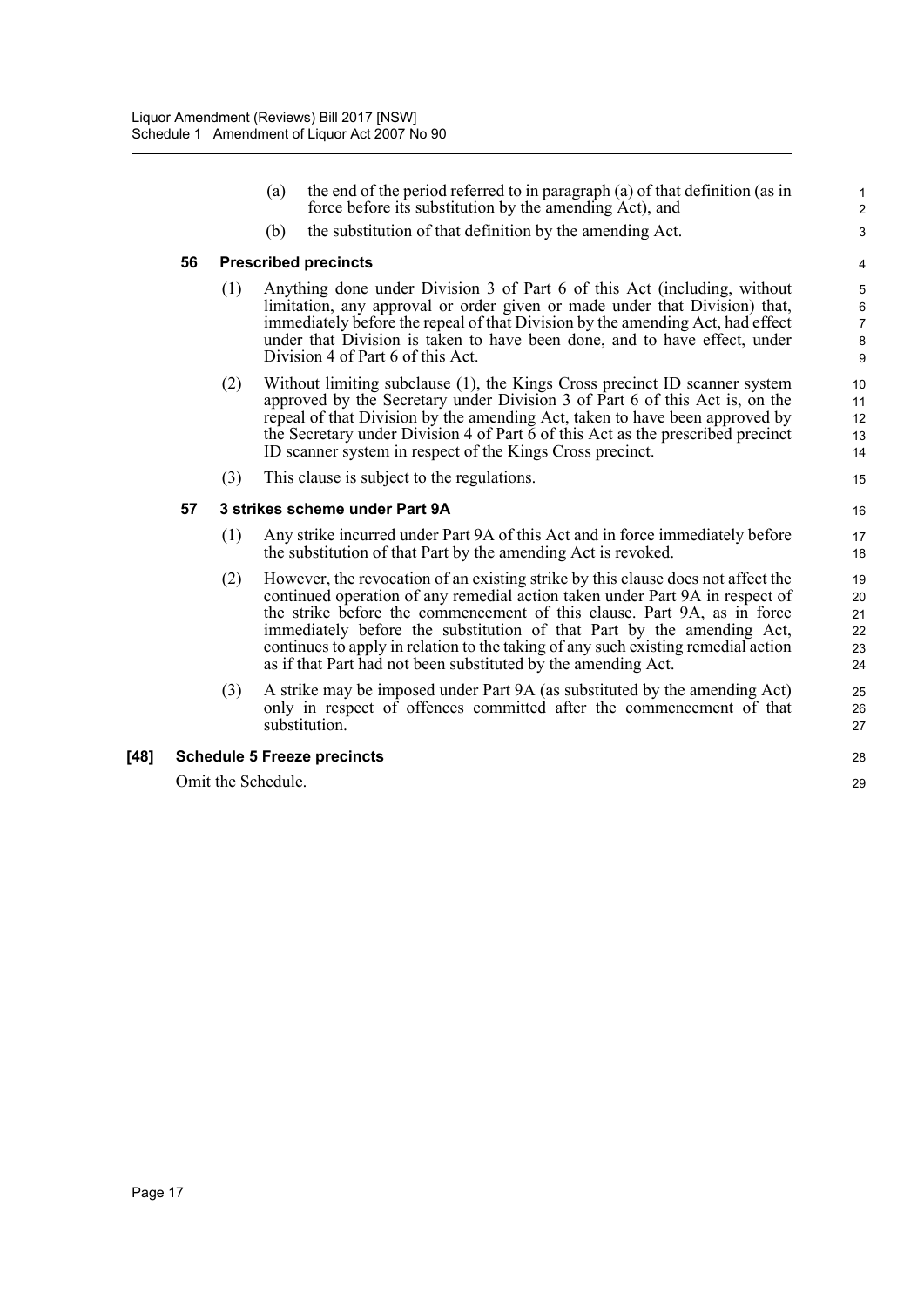|        |                                    |                                | (a) | the end of the period referred to in paragraph (a) of that definition (as in<br>force before its substitution by the amending Act), and                                                                                                                                                                                                                                                                                                                                    | 1<br>$\overline{2}$                |  |
|--------|------------------------------------|--------------------------------|-----|----------------------------------------------------------------------------------------------------------------------------------------------------------------------------------------------------------------------------------------------------------------------------------------------------------------------------------------------------------------------------------------------------------------------------------------------------------------------------|------------------------------------|--|
|        |                                    |                                | (b) | the substitution of that definition by the amending Act.                                                                                                                                                                                                                                                                                                                                                                                                                   | 3                                  |  |
|        | 56                                 | <b>Prescribed precincts</b>    |     |                                                                                                                                                                                                                                                                                                                                                                                                                                                                            |                                    |  |
|        |                                    | (1)                            |     | Anything done under Division 3 of Part 6 of this Act (including, without<br>limitation, any approval or order given or made under that Division) that,<br>immediately before the repeal of that Division by the amending Act, had effect<br>under that Division is taken to have been done, and to have effect, under<br>Division 4 of Part 6 of this Act.                                                                                                                 | 5<br>6<br>$\overline{7}$<br>8<br>9 |  |
|        |                                    | (2)                            |     | Without limiting subclause (1), the Kings Cross precinct ID scanner system<br>approved by the Secretary under Division 3 of Part 6 of this Act is, on the<br>repeal of that Division by the amending Act, taken to have been approved by<br>the Secretary under Division 4 of Part 6 of this Act as the prescribed precinct<br>ID scanner system in respect of the Kings Cross precinct.                                                                                   | 10<br>11<br>12<br>13<br>14         |  |
|        |                                    | (3)                            |     | This clause is subject to the regulations.                                                                                                                                                                                                                                                                                                                                                                                                                                 | 15                                 |  |
|        | 57                                 | 3 strikes scheme under Part 9A |     |                                                                                                                                                                                                                                                                                                                                                                                                                                                                            |                                    |  |
|        |                                    | (1)                            |     | Any strike incurred under Part 9A of this Act and in force immediately before<br>the substitution of that Part by the amending Act is revoked.                                                                                                                                                                                                                                                                                                                             | 17<br>18                           |  |
|        |                                    | (2)                            |     | However, the revocation of an existing strike by this clause does not affect the<br>continued operation of any remedial action taken under Part 9A in respect of<br>the strike before the commencement of this clause. Part 9A, as in force<br>immediately before the substitution of that Part by the amending Act,<br>continues to apply in relation to the taking of any such existing remedial action<br>as if that Part had not been substituted by the amending Act. | 19<br>20<br>21<br>22<br>23<br>24   |  |
|        |                                    | (3)                            |     | A strike may be imposed under Part 9A (as substituted by the amending Act)<br>only in respect of offences committed after the commencement of that<br>substitution.                                                                                                                                                                                                                                                                                                        | 25<br>26<br>27                     |  |
| $[48]$ | <b>Schedule 5 Freeze precincts</b> |                                |     |                                                                                                                                                                                                                                                                                                                                                                                                                                                                            |                                    |  |
|        | Omit the Schedule.                 |                                |     |                                                                                                                                                                                                                                                                                                                                                                                                                                                                            |                                    |  |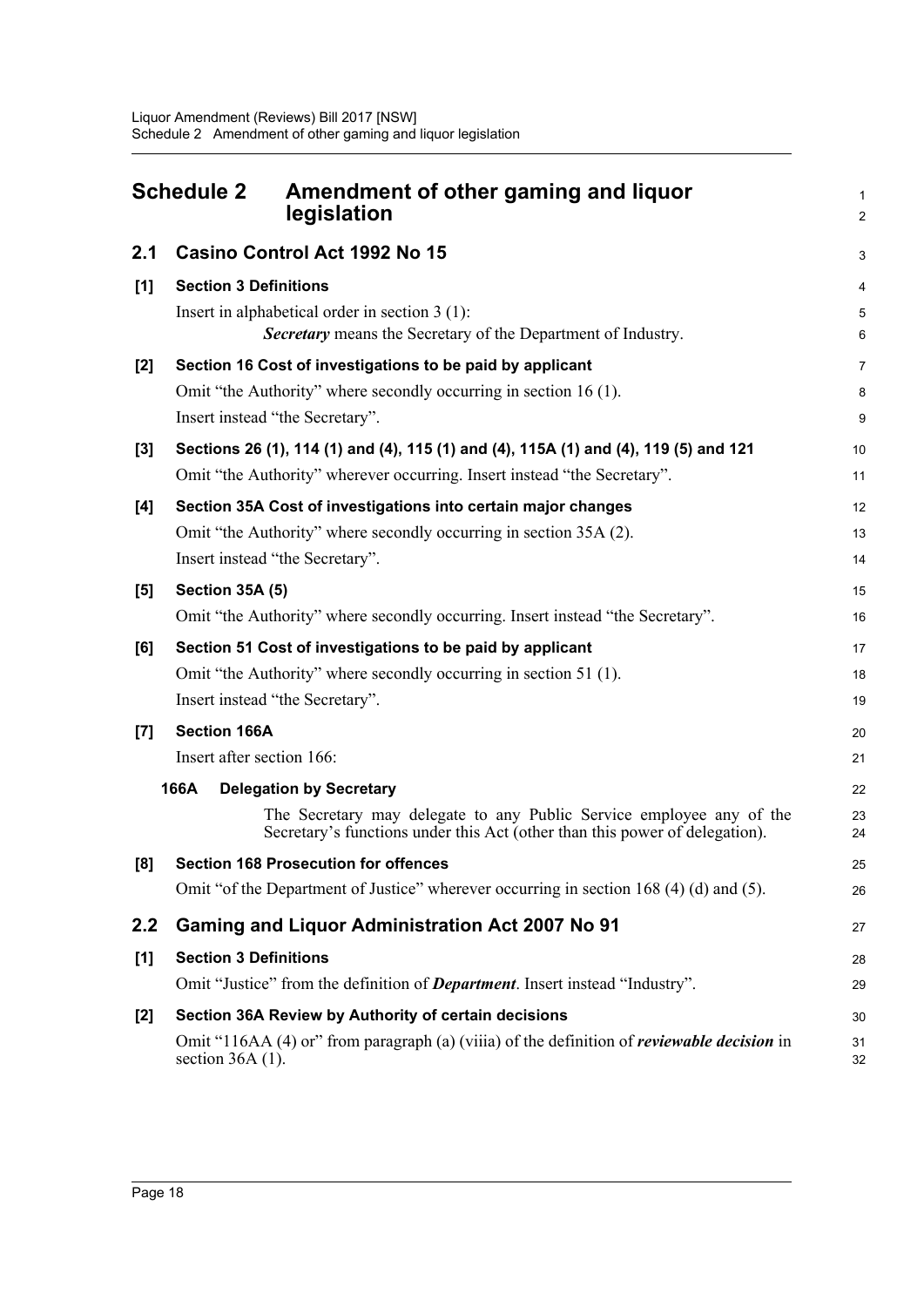<span id="page-21-0"></span>

|       | <b>Schedule 2</b>                                                                                                                                                | Amendment of other gaming and liquor<br>legislation                                                                                                 |                     |  |  |
|-------|------------------------------------------------------------------------------------------------------------------------------------------------------------------|-----------------------------------------------------------------------------------------------------------------------------------------------------|---------------------|--|--|
| 2.1   |                                                                                                                                                                  | Casino Control Act 1992 No 15                                                                                                                       | 3                   |  |  |
| $[1]$ | <b>Section 3 Definitions</b>                                                                                                                                     |                                                                                                                                                     |                     |  |  |
|       | Insert in alphabetical order in section $3(1)$ :<br><b>Secretary</b> means the Secretary of the Department of Industry.                                          |                                                                                                                                                     |                     |  |  |
| $[2]$ |                                                                                                                                                                  | Section 16 Cost of investigations to be paid by applicant<br>Omit "the Authority" where secondly occurring in section 16 (1).                       | $\overline{7}$<br>8 |  |  |
|       |                                                                                                                                                                  | Insert instead "the Secretary".                                                                                                                     | $\boldsymbol{9}$    |  |  |
| $[3]$ | Sections 26 (1), 114 (1) and (4), 115 (1) and (4), 115A (1) and (4), 119 (5) and 121<br>Omit "the Authority" wherever occurring. Insert instead "the Secretary". |                                                                                                                                                     |                     |  |  |
| [4]   |                                                                                                                                                                  | Section 35A Cost of investigations into certain major changes                                                                                       | 12                  |  |  |
|       |                                                                                                                                                                  | Omit "the Authority" where secondly occurring in section 35A (2).                                                                                   | 13                  |  |  |
|       |                                                                                                                                                                  | Insert instead "the Secretary".                                                                                                                     | 14                  |  |  |
| [5]   | <b>Section 35A (5)</b>                                                                                                                                           |                                                                                                                                                     | 15                  |  |  |
|       | Omit "the Authority" where secondly occurring. Insert instead "the Secretary".                                                                                   |                                                                                                                                                     |                     |  |  |
| [6]   |                                                                                                                                                                  | Section 51 Cost of investigations to be paid by applicant                                                                                           | 17                  |  |  |
|       |                                                                                                                                                                  | Omit "the Authority" where secondly occurring in section 51 (1).                                                                                    | 18                  |  |  |
|       |                                                                                                                                                                  | Insert instead "the Secretary".                                                                                                                     | 19                  |  |  |
| [7]   | <b>Section 166A</b>                                                                                                                                              |                                                                                                                                                     | 20                  |  |  |
|       | Insert after section 166:                                                                                                                                        |                                                                                                                                                     | 21                  |  |  |
|       | 166A                                                                                                                                                             | <b>Delegation by Secretary</b>                                                                                                                      | 22                  |  |  |
|       |                                                                                                                                                                  | The Secretary may delegate to any Public Service employee any of the<br>Secretary's functions under this Act (other than this power of delegation). | 23<br>24            |  |  |
| [8]   |                                                                                                                                                                  | <b>Section 168 Prosecution for offences</b>                                                                                                         | 25                  |  |  |
|       |                                                                                                                                                                  | Omit "of the Department of Justice" wherever occurring in section 168 (4) (d) and (5).                                                              | 26                  |  |  |
| 2.2   |                                                                                                                                                                  | <b>Gaming and Liquor Administration Act 2007 No 91</b>                                                                                              | 27                  |  |  |
| [1]   | <b>Section 3 Definitions</b>                                                                                                                                     |                                                                                                                                                     |                     |  |  |
|       | Omit "Justice" from the definition of <i>Department</i> . Insert instead "Industry".                                                                             |                                                                                                                                                     |                     |  |  |
| $[2]$ | Section 36A Review by Authority of certain decisions                                                                                                             |                                                                                                                                                     |                     |  |  |
|       | section $36A(1)$ .                                                                                                                                               | Omit "116AA (4) or" from paragraph (a) (viiia) of the definition of <i>reviewable decision</i> in                                                   | 31<br>32            |  |  |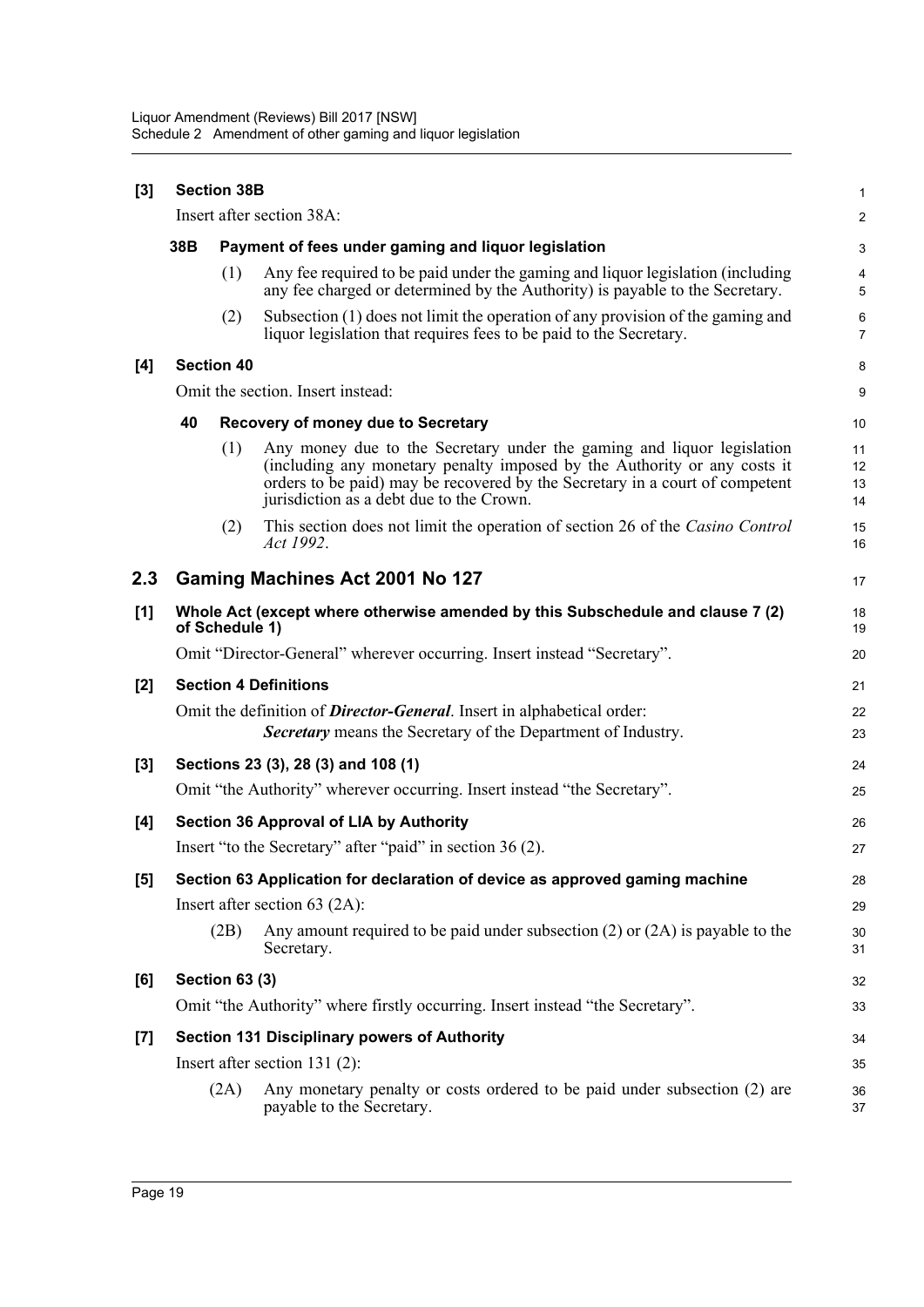| $[3]$ | <b>Section 38B</b>                                                                               |                                                     |                                                                                                                                                                                                                                                                                |                      |  |
|-------|--------------------------------------------------------------------------------------------------|-----------------------------------------------------|--------------------------------------------------------------------------------------------------------------------------------------------------------------------------------------------------------------------------------------------------------------------------------|----------------------|--|
|       | Insert after section 38A:                                                                        |                                                     |                                                                                                                                                                                                                                                                                |                      |  |
|       | 38B                                                                                              | Payment of fees under gaming and liquor legislation |                                                                                                                                                                                                                                                                                |                      |  |
|       |                                                                                                  | (1)                                                 | Any fee required to be paid under the gaming and liquor legislation (including<br>any fee charged or determined by the Authority) is payable to the Secretary.                                                                                                                 | 4<br>5               |  |
|       |                                                                                                  | (2)                                                 | Subsection (1) does not limit the operation of any provision of the gaming and<br>liquor legislation that requires fees to be paid to the Secretary.                                                                                                                           | 6<br>$\overline{7}$  |  |
| [4]   |                                                                                                  | <b>Section 40</b>                                   |                                                                                                                                                                                                                                                                                | 8                    |  |
|       | Omit the section. Insert instead:                                                                |                                                     |                                                                                                                                                                                                                                                                                |                      |  |
|       | 40                                                                                               |                                                     | <b>Recovery of money due to Secretary</b>                                                                                                                                                                                                                                      | 10                   |  |
|       |                                                                                                  | (1)                                                 | Any money due to the Secretary under the gaming and liquor legislation<br>(including any monetary penalty imposed by the Authority or any costs it<br>orders to be paid) may be recovered by the Secretary in a court of competent<br>jurisdiction as a debt due to the Crown. | 11<br>12<br>13<br>14 |  |
|       |                                                                                                  | (2)                                                 | This section does not limit the operation of section 26 of the Casino Control<br>Act 1992.                                                                                                                                                                                     | 15<br>16             |  |
| 2.3   |                                                                                                  |                                                     | Gaming Machines Act 2001 No 127                                                                                                                                                                                                                                                | 17                   |  |
| [1]   | Whole Act (except where otherwise amended by this Subschedule and clause 7 (2)<br>of Schedule 1) |                                                     |                                                                                                                                                                                                                                                                                | 18<br>19             |  |
|       |                                                                                                  |                                                     | Omit "Director-General" wherever occurring. Insert instead "Secretary".                                                                                                                                                                                                        | 20                   |  |
| $[2]$ |                                                                                                  |                                                     | <b>Section 4 Definitions</b>                                                                                                                                                                                                                                                   | 21                   |  |
|       |                                                                                                  |                                                     | Omit the definition of <b>Director-General</b> . Insert in alphabetical order:<br><b>Secretary</b> means the Secretary of the Department of Industry.                                                                                                                          | 22<br>23             |  |
| [3]   | Sections 23 (3), 28 (3) and 108 (1)                                                              |                                                     |                                                                                                                                                                                                                                                                                |                      |  |
|       |                                                                                                  |                                                     | Omit "the Authority" wherever occurring. Insert instead "the Secretary".                                                                                                                                                                                                       | 25                   |  |
| [4]   | <b>Section 36 Approval of LIA by Authority</b>                                                   |                                                     |                                                                                                                                                                                                                                                                                |                      |  |
|       |                                                                                                  |                                                     | Insert "to the Secretary" after "paid" in section 36 (2).                                                                                                                                                                                                                      | 27                   |  |
| [5]   | Section 63 Application for declaration of device as approved gaming machine                      |                                                     |                                                                                                                                                                                                                                                                                |                      |  |
|       |                                                                                                  |                                                     | Insert after section $63$ (2A):                                                                                                                                                                                                                                                | 29                   |  |
|       |                                                                                                  | (2B)                                                | Any amount required to be paid under subsection $(2)$ or $(2A)$ is payable to the<br>Secretary.                                                                                                                                                                                | 30<br>31             |  |
| [6]   |                                                                                                  | <b>Section 63 (3)</b>                               |                                                                                                                                                                                                                                                                                | 32                   |  |
|       |                                                                                                  |                                                     | Omit "the Authority" where firstly occurring. Insert instead "the Secretary".                                                                                                                                                                                                  | 33                   |  |
| $[7]$ | Section 131 Disciplinary powers of Authority                                                     |                                                     |                                                                                                                                                                                                                                                                                |                      |  |
|       | Insert after section $131(2)$ :                                                                  |                                                     |                                                                                                                                                                                                                                                                                |                      |  |
|       |                                                                                                  | (2A)                                                | Any monetary penalty or costs ordered to be paid under subsection (2) are<br>payable to the Secretary.                                                                                                                                                                         | 36<br>37             |  |